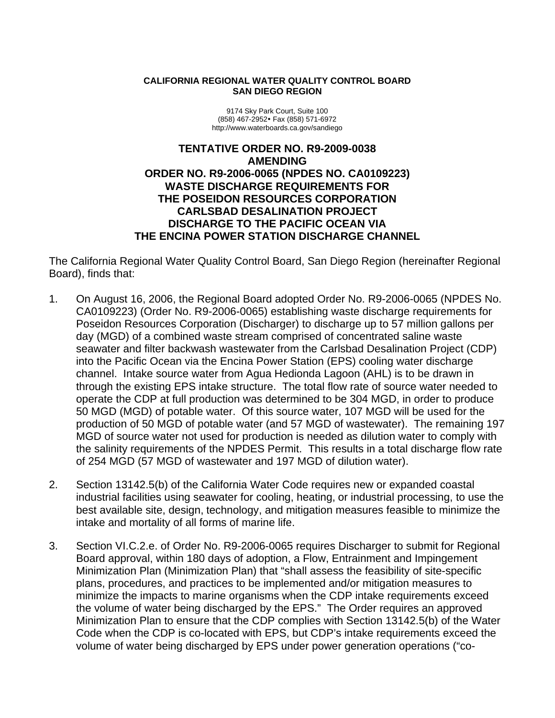#### **CALIFORNIA REGIONAL WATER QUALITY CONTROL BOARD SAN DIEGO REGION**

9174 Sky Park Court, Suite 100 (858) 467-2952y Fax (858) 571-6972 http://www.waterboards.ca.gov/sandiego

#### **TENTATIVE ORDER NO. R9-2009-0038 AMENDING ORDER NO. R9-2006-0065 (NPDES NO. CA0109223) WASTE DISCHARGE REQUIREMENTS FOR THE POSEIDON RESOURCES CORPORATION CARLSBAD DESALINATION PROJECT DISCHARGE TO THE PACIFIC OCEAN VIA THE ENCINA POWER STATION DISCHARGE CHANNEL**

The California Regional Water Quality Control Board, San Diego Region (hereinafter Regional Board), finds that:

- 1. On August 16, 2006, the Regional Board adopted Order No. R9-2006-0065 (NPDES No. CA0109223) (Order No. R9-2006-0065) establishing waste discharge requirements for Poseidon Resources Corporation (Discharger) to discharge up to 57 million gallons per day (MGD) of a combined waste stream comprised of concentrated saline waste seawater and filter backwash wastewater from the Carlsbad Desalination Project (CDP) into the Pacific Ocean via the Encina Power Station (EPS) cooling water discharge channel. Intake source water from Agua Hedionda Lagoon (AHL) is to be drawn in through the existing EPS intake structure. The total flow rate of source water needed to operate the CDP at full production was determined to be 304 MGD, in order to produce 50 MGD (MGD) of potable water. Of this source water, 107 MGD will be used for the production of 50 MGD of potable water (and 57 MGD of wastewater). The remaining 197 MGD of source water not used for production is needed as dilution water to comply with the salinity requirements of the NPDES Permit. This results in a total discharge flow rate of 254 MGD (57 MGD of wastewater and 197 MGD of dilution water).
- 2. Section 13142.5(b) of the California Water Code requires new or expanded coastal industrial facilities using seawater for cooling, heating, or industrial processing, to use the best available site, design, technology, and mitigation measures feasible to minimize the intake and mortality of all forms of marine life.
- 3. Section VI.C.2.e. of Order No. R9-2006-0065 requires Discharger to submit for Regional Board approval, within 180 days of adoption, a Flow, Entrainment and Impingement Minimization Plan (Minimization Plan) that "shall assess the feasibility of site-specific plans, procedures, and practices to be implemented and/or mitigation measures to minimize the impacts to marine organisms when the CDP intake requirements exceed the volume of water being discharged by the EPS." The Order requires an approved Minimization Plan to ensure that the CDP complies with Section 13142.5(b) of the Water Code when the CDP is co-located with EPS, but CDP's intake requirements exceed the volume of water being discharged by EPS under power generation operations ("co-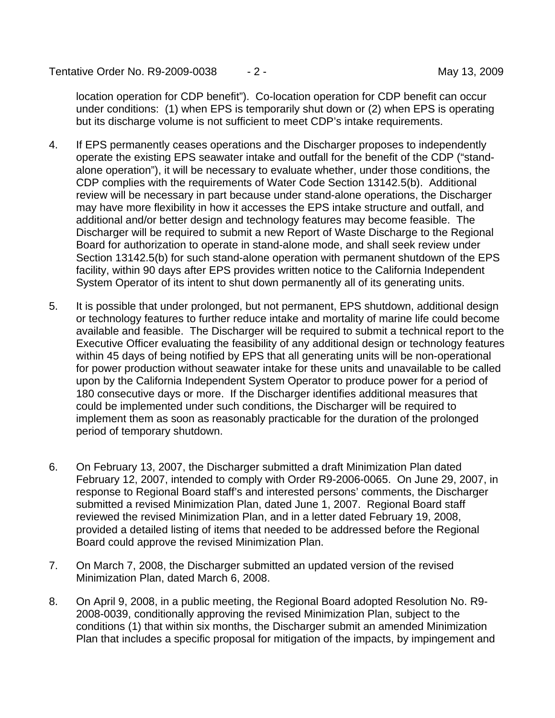Tentative Order No. R9-2009-0038  $-2$  - Tentative Order No. 89-2009

location operation for CDP benefit"). Co-location operation for CDP benefit can occur under conditions: (1) when EPS is temporarily shut down or (2) when EPS is operating but its discharge volume is not sufficient to meet CDP's intake requirements.

- 4. If EPS permanently ceases operations and the Discharger proposes to independently operate the existing EPS seawater intake and outfall for the benefit of the CDP ("standalone operation"), it will be necessary to evaluate whether, under those conditions, the CDP complies with the requirements of Water Code Section 13142.5(b). Additional review will be necessary in part because under stand-alone operations, the Discharger may have more flexibility in how it accesses the EPS intake structure and outfall, and additional and/or better design and technology features may become feasible. The Discharger will be required to submit a new Report of Waste Discharge to the Regional Board for authorization to operate in stand-alone mode, and shall seek review under Section 13142.5(b) for such stand-alone operation with permanent shutdown of the EPS facility, within 90 days after EPS provides written notice to the California Independent System Operator of its intent to shut down permanently all of its generating units.
- 5. It is possible that under prolonged, but not permanent, EPS shutdown, additional design or technology features to further reduce intake and mortality of marine life could become available and feasible. The Discharger will be required to submit a technical report to the Executive Officer evaluating the feasibility of any additional design or technology features within 45 days of being notified by EPS that all generating units will be non-operational for power production without seawater intake for these units and unavailable to be called upon by the California Independent System Operator to produce power for a period of 180 consecutive days or more. If the Discharger identifies additional measures that could be implemented under such conditions, the Discharger will be required to implement them as soon as reasonably practicable for the duration of the prolonged period of temporary shutdown.
- 6. On February 13, 2007, the Discharger submitted a draft Minimization Plan dated February 12, 2007, intended to comply with Order R9-2006-0065. On June 29, 2007, in response to Regional Board staff's and interested persons' comments, the Discharger submitted a revised Minimization Plan, dated June 1, 2007. Regional Board staff reviewed the revised Minimization Plan, and in a letter dated February 19, 2008, provided a detailed listing of items that needed to be addressed before the Regional Board could approve the revised Minimization Plan.
- 7. On March 7, 2008, the Discharger submitted an updated version of the revised Minimization Plan, dated March 6, 2008.
- 8. On April 9, 2008, in a public meeting, the Regional Board adopted Resolution No. R9- 2008-0039, conditionally approving the revised Minimization Plan, subject to the conditions (1) that within six months, the Discharger submit an amended Minimization Plan that includes a specific proposal for mitigation of the impacts, by impingement and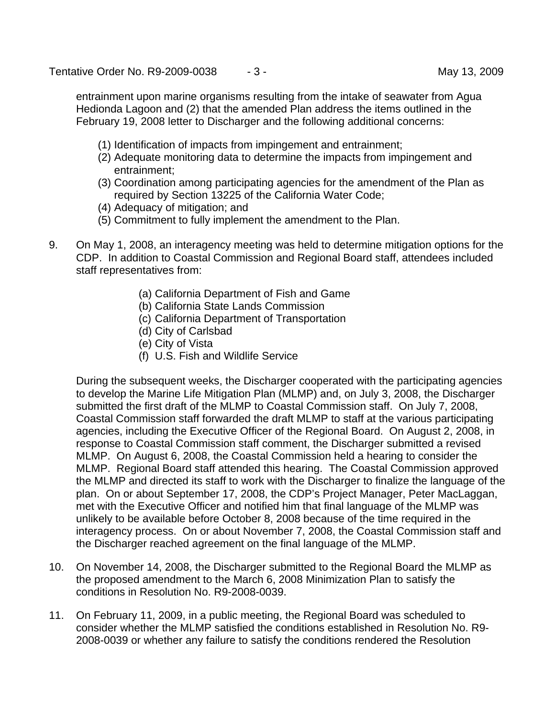Tentative Order No. R9-2009-0038  $-3 -$  May 13, 2009

entrainment upon marine organisms resulting from the intake of seawater from Agua Hedionda Lagoon and (2) that the amended Plan address the items outlined in the February 19, 2008 letter to Discharger and the following additional concerns:

- (1) Identification of impacts from impingement and entrainment;
- (2) Adequate monitoring data to determine the impacts from impingement and entrainment;
- (3) Coordination among participating agencies for the amendment of the Plan as required by Section 13225 of the California Water Code;
- (4) Adequacy of mitigation; and
- (5) Commitment to fully implement the amendment to the Plan.
- 9. On May 1, 2008, an interagency meeting was held to determine mitigation options for the CDP. In addition to Coastal Commission and Regional Board staff, attendees included staff representatives from:
	- (a) California Department of Fish and Game
	- (b) California State Lands Commission
	- (c) California Department of Transportation
	- (d) City of Carlsbad
	- (e) City of Vista
	- (f) U.S. Fish and Wildlife Service

During the subsequent weeks, the Discharger cooperated with the participating agencies to develop the Marine Life Mitigation Plan (MLMP) and, on July 3, 2008, the Discharger submitted the first draft of the MLMP to Coastal Commission staff. On July 7, 2008, Coastal Commission staff forwarded the draft MLMP to staff at the various participating agencies, including the Executive Officer of the Regional Board. On August 2, 2008, in response to Coastal Commission staff comment, the Discharger submitted a revised MLMP. On August 6, 2008, the Coastal Commission held a hearing to consider the MLMP. Regional Board staff attended this hearing. The Coastal Commission approved the MLMP and directed its staff to work with the Discharger to finalize the language of the plan. On or about September 17, 2008, the CDP's Project Manager, Peter MacLaggan, met with the Executive Officer and notified him that final language of the MLMP was unlikely to be available before October 8, 2008 because of the time required in the interagency process. On or about November 7, 2008, the Coastal Commission staff and the Discharger reached agreement on the final language of the MLMP.

- 10. On November 14, 2008, the Discharger submitted to the Regional Board the MLMP as the proposed amendment to the March 6, 2008 Minimization Plan to satisfy the conditions in Resolution No. R9-2008-0039.
- 11. On February 11, 2009, in a public meeting, the Regional Board was scheduled to consider whether the MLMP satisfied the conditions established in Resolution No. R9- 2008-0039 or whether any failure to satisfy the conditions rendered the Resolution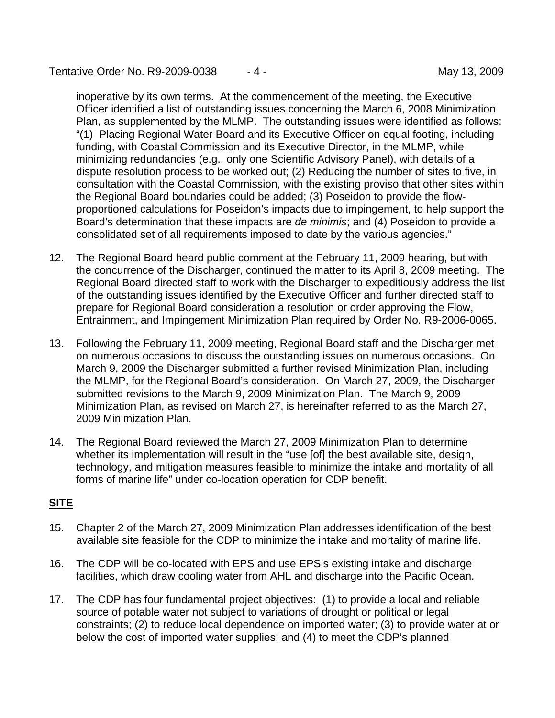Tentative Order No. R9-2009-0038  $-4$  -  $-$  May 13, 2009

inoperative by its own terms. At the commencement of the meeting, the Executive Officer identified a list of outstanding issues concerning the March 6, 2008 Minimization Plan, as supplemented by the MLMP. The outstanding issues were identified as follows: "(1) Placing Regional Water Board and its Executive Officer on equal footing, including funding, with Coastal Commission and its Executive Director, in the MLMP, while minimizing redundancies (e.g., only one Scientific Advisory Panel), with details of a dispute resolution process to be worked out; (2) Reducing the number of sites to five, in consultation with the Coastal Commission, with the existing proviso that other sites within the Regional Board boundaries could be added; (3) Poseidon to provide the flowproportioned calculations for Poseidon's impacts due to impingement, to help support the Board's determination that these impacts are *de minimis*; and (4) Poseidon to provide a consolidated set of all requirements imposed to date by the various agencies."

- 12. The Regional Board heard public comment at the February 11, 2009 hearing, but with the concurrence of the Discharger, continued the matter to its April 8, 2009 meeting. The Regional Board directed staff to work with the Discharger to expeditiously address the list of the outstanding issues identified by the Executive Officer and further directed staff to prepare for Regional Board consideration a resolution or order approving the Flow, Entrainment, and Impingement Minimization Plan required by Order No. R9-2006-0065.
- 13. Following the February 11, 2009 meeting, Regional Board staff and the Discharger met on numerous occasions to discuss the outstanding issues on numerous occasions. On March 9, 2009 the Discharger submitted a further revised Minimization Plan, including the MLMP, for the Regional Board's consideration. On March 27, 2009, the Discharger submitted revisions to the March 9, 2009 Minimization Plan. The March 9, 2009 Minimization Plan, as revised on March 27, is hereinafter referred to as the March 27, 2009 Minimization Plan.
- 14. The Regional Board reviewed the March 27, 2009 Minimization Plan to determine whether its implementation will result in the "use [of] the best available site, design, technology, and mitigation measures feasible to minimize the intake and mortality of all forms of marine life" under co-location operation for CDP benefit.

## **SITE**

- 15. Chapter 2 of the March 27, 2009 Minimization Plan addresses identification of the best available site feasible for the CDP to minimize the intake and mortality of marine life.
- 16. The CDP will be co-located with EPS and use EPS's existing intake and discharge facilities, which draw cooling water from AHL and discharge into the Pacific Ocean.
- 17. The CDP has four fundamental project objectives: (1) to provide a local and reliable source of potable water not subject to variations of drought or political or legal constraints; (2) to reduce local dependence on imported water; (3) to provide water at or below the cost of imported water supplies; and (4) to meet the CDP's planned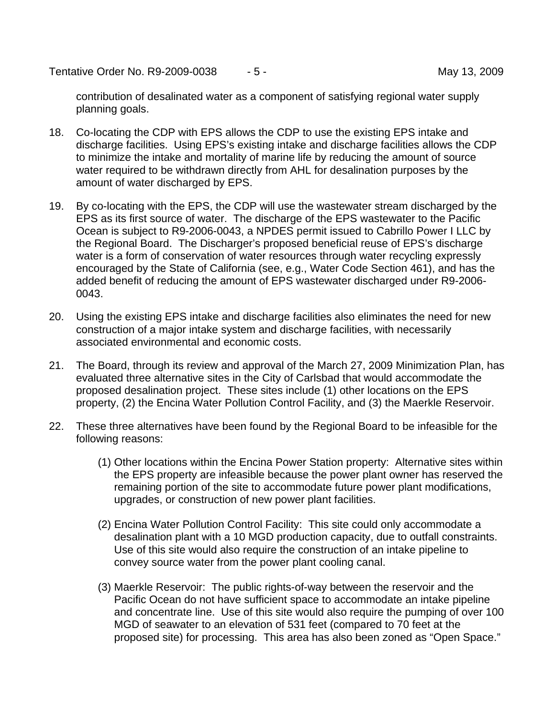Tentative Order No. R9-2009-0038  $-5 -$  May 13, 2009

contribution of desalinated water as a component of satisfying regional water supply planning goals.

- 18. Co-locating the CDP with EPS allows the CDP to use the existing EPS intake and discharge facilities. Using EPS's existing intake and discharge facilities allows the CDP to minimize the intake and mortality of marine life by reducing the amount of source water required to be withdrawn directly from AHL for desalination purposes by the amount of water discharged by EPS.
- 19. By co-locating with the EPS, the CDP will use the wastewater stream discharged by the EPS as its first source of water. The discharge of the EPS wastewater to the Pacific Ocean is subject to R9-2006-0043, a NPDES permit issued to Cabrillo Power I LLC by the Regional Board. The Discharger's proposed beneficial reuse of EPS's discharge water is a form of conservation of water resources through water recycling expressly encouraged by the State of California (see, e.g., Water Code Section 461), and has the added benefit of reducing the amount of EPS wastewater discharged under R9-2006- 0043.
- 20. Using the existing EPS intake and discharge facilities also eliminates the need for new construction of a major intake system and discharge facilities, with necessarily associated environmental and economic costs.
- 21. The Board, through its review and approval of the March 27, 2009 Minimization Plan, has evaluated three alternative sites in the City of Carlsbad that would accommodate the proposed desalination project. These sites include (1) other locations on the EPS property, (2) the Encina Water Pollution Control Facility, and (3) the Maerkle Reservoir.
- 22. These three alternatives have been found by the Regional Board to be infeasible for the following reasons:
	- (1) Other locations within the Encina Power Station property: Alternative sites within the EPS property are infeasible because the power plant owner has reserved the remaining portion of the site to accommodate future power plant modifications, upgrades, or construction of new power plant facilities.
	- (2) Encina Water Pollution Control Facility: This site could only accommodate a desalination plant with a 10 MGD production capacity, due to outfall constraints. Use of this site would also require the construction of an intake pipeline to convey source water from the power plant cooling canal.
	- (3) Maerkle Reservoir: The public rights-of-way between the reservoir and the Pacific Ocean do not have sufficient space to accommodate an intake pipeline and concentrate line. Use of this site would also require the pumping of over 100 MGD of seawater to an elevation of 531 feet (compared to 70 feet at the proposed site) for processing. This area has also been zoned as "Open Space."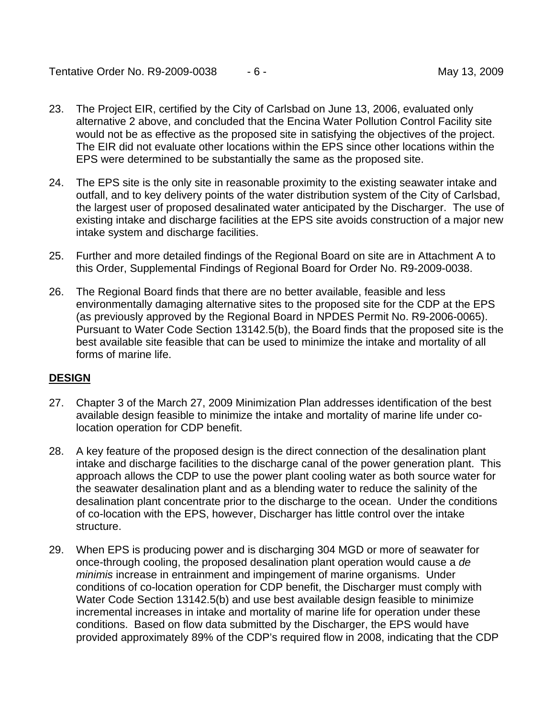### Tentative Order No. R9-2009-0038  $-6$  - May 13, 2009

- 23. The Project EIR, certified by the City of Carlsbad on June 13, 2006, evaluated only alternative 2 above, and concluded that the Encina Water Pollution Control Facility site would not be as effective as the proposed site in satisfying the objectives of the project. The EIR did not evaluate other locations within the EPS since other locations within the EPS were determined to be substantially the same as the proposed site.
- 24. The EPS site is the only site in reasonable proximity to the existing seawater intake and outfall, and to key delivery points of the water distribution system of the City of Carlsbad, the largest user of proposed desalinated water anticipated by the Discharger. The use of existing intake and discharge facilities at the EPS site avoids construction of a major new intake system and discharge facilities.
- 25. Further and more detailed findings of the Regional Board on site are in Attachment A to this Order, Supplemental Findings of Regional Board for Order No. R9-2009-0038.
- 26. The Regional Board finds that there are no better available, feasible and less environmentally damaging alternative sites to the proposed site for the CDP at the EPS (as previously approved by the Regional Board in NPDES Permit No. R9-2006-0065). Pursuant to Water Code Section 13142.5(b), the Board finds that the proposed site is the best available site feasible that can be used to minimize the intake and mortality of all forms of marine life.

### **DESIGN**

- 27. Chapter 3 of the March 27, 2009 Minimization Plan addresses identification of the best available design feasible to minimize the intake and mortality of marine life under colocation operation for CDP benefit.
- 28. A key feature of the proposed design is the direct connection of the desalination plant intake and discharge facilities to the discharge canal of the power generation plant. This approach allows the CDP to use the power plant cooling water as both source water for the seawater desalination plant and as a blending water to reduce the salinity of the desalination plant concentrate prior to the discharge to the ocean. Under the conditions of co-location with the EPS, however, Discharger has little control over the intake structure.
- 29. When EPS is producing power and is discharging 304 MGD or more of seawater for once-through cooling, the proposed desalination plant operation would cause a *de minimis* increase in entrainment and impingement of marine organisms. Under conditions of co-location operation for CDP benefit, the Discharger must comply with Water Code Section 13142.5(b) and use best available design feasible to minimize incremental increases in intake and mortality of marine life for operation under these conditions. Based on flow data submitted by the Discharger, the EPS would have provided approximately 89% of the CDP's required flow in 2008, indicating that the CDP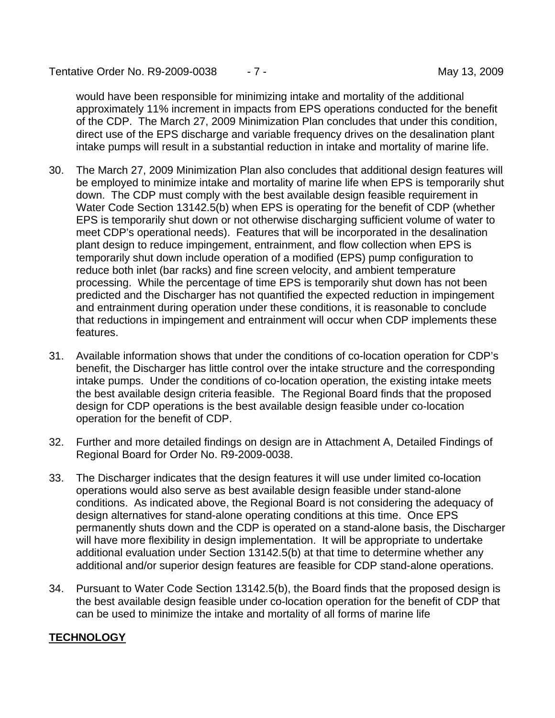Tentative Order No. R9-2009-0038  $-7 -$  May 13, 2009

would have been responsible for minimizing intake and mortality of the additional approximately 11% increment in impacts from EPS operations conducted for the benefit of the CDP. The March 27, 2009 Minimization Plan concludes that under this condition, direct use of the EPS discharge and variable frequency drives on the desalination plant intake pumps will result in a substantial reduction in intake and mortality of marine life.

- 30. The March 27, 2009 Minimization Plan also concludes that additional design features will be employed to minimize intake and mortality of marine life when EPS is temporarily shut down. The CDP must comply with the best available design feasible requirement in Water Code Section 13142.5(b) when EPS is operating for the benefit of CDP (whether EPS is temporarily shut down or not otherwise discharging sufficient volume of water to meet CDP's operational needs). Features that will be incorporated in the desalination plant design to reduce impingement, entrainment, and flow collection when EPS is temporarily shut down include operation of a modified (EPS) pump configuration to reduce both inlet (bar racks) and fine screen velocity, and ambient temperature processing. While the percentage of time EPS is temporarily shut down has not been predicted and the Discharger has not quantified the expected reduction in impingement and entrainment during operation under these conditions, it is reasonable to conclude that reductions in impingement and entrainment will occur when CDP implements these features.
- 31. Available information shows that under the conditions of co-location operation for CDP's benefit, the Discharger has little control over the intake structure and the corresponding intake pumps. Under the conditions of co-location operation, the existing intake meets the best available design criteria feasible. The Regional Board finds that the proposed design for CDP operations is the best available design feasible under co-location operation for the benefit of CDP.
- 32. Further and more detailed findings on design are in Attachment A, Detailed Findings of Regional Board for Order No. R9-2009-0038.
- 33. The Discharger indicates that the design features it will use under limited co-location operations would also serve as best available design feasible under stand-alone conditions. As indicated above, the Regional Board is not considering the adequacy of design alternatives for stand-alone operating conditions at this time. Once EPS permanently shuts down and the CDP is operated on a stand-alone basis, the Discharger will have more flexibility in design implementation. It will be appropriate to undertake additional evaluation under Section 13142.5(b) at that time to determine whether any additional and/or superior design features are feasible for CDP stand-alone operations.
- 34. Pursuant to Water Code Section 13142.5(b), the Board finds that the proposed design is the best available design feasible under co-location operation for the benefit of CDP that can be used to minimize the intake and mortality of all forms of marine life

## **TECHNOLOGY**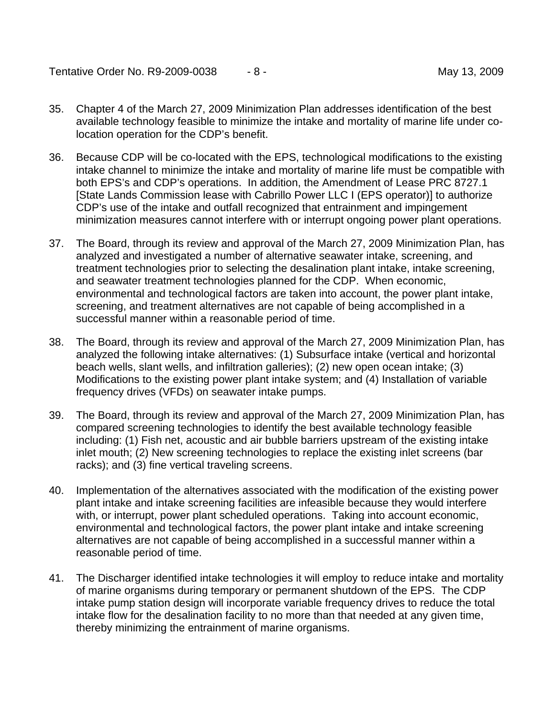Tentative Order No. R9-2009-0038  $-8$  - May 13, 2009

- 35. Chapter 4 of the March 27, 2009 Minimization Plan addresses identification of the best available technology feasible to minimize the intake and mortality of marine life under colocation operation for the CDP's benefit.
- 36. Because CDP will be co-located with the EPS, technological modifications to the existing intake channel to minimize the intake and mortality of marine life must be compatible with both EPS's and CDP's operations. In addition, the Amendment of Lease PRC 8727.1 [State Lands Commission lease with Cabrillo Power LLC I (EPS operator)] to authorize CDP's use of the intake and outfall recognized that entrainment and impingement minimization measures cannot interfere with or interrupt ongoing power plant operations.
- 37. The Board, through its review and approval of the March 27, 2009 Minimization Plan, has analyzed and investigated a number of alternative seawater intake, screening, and treatment technologies prior to selecting the desalination plant intake, intake screening, and seawater treatment technologies planned for the CDP. When economic, environmental and technological factors are taken into account, the power plant intake, screening, and treatment alternatives are not capable of being accomplished in a successful manner within a reasonable period of time.
- 38. The Board, through its review and approval of the March 27, 2009 Minimization Plan, has analyzed the following intake alternatives: (1) Subsurface intake (vertical and horizontal beach wells, slant wells, and infiltration galleries); (2) new open ocean intake; (3) Modifications to the existing power plant intake system; and (4) Installation of variable frequency drives (VFDs) on seawater intake pumps.
- 39. The Board, through its review and approval of the March 27, 2009 Minimization Plan, has compared screening technologies to identify the best available technology feasible including: (1) Fish net, acoustic and air bubble barriers upstream of the existing intake inlet mouth; (2) New screening technologies to replace the existing inlet screens (bar racks); and (3) fine vertical traveling screens.
- 40. Implementation of the alternatives associated with the modification of the existing power plant intake and intake screening facilities are infeasible because they would interfere with, or interrupt, power plant scheduled operations. Taking into account economic, environmental and technological factors, the power plant intake and intake screening alternatives are not capable of being accomplished in a successful manner within a reasonable period of time.
- 41. The Discharger identified intake technologies it will employ to reduce intake and mortality of marine organisms during temporary or permanent shutdown of the EPS. The CDP intake pump station design will incorporate variable frequency drives to reduce the total intake flow for the desalination facility to no more than that needed at any given time, thereby minimizing the entrainment of marine organisms.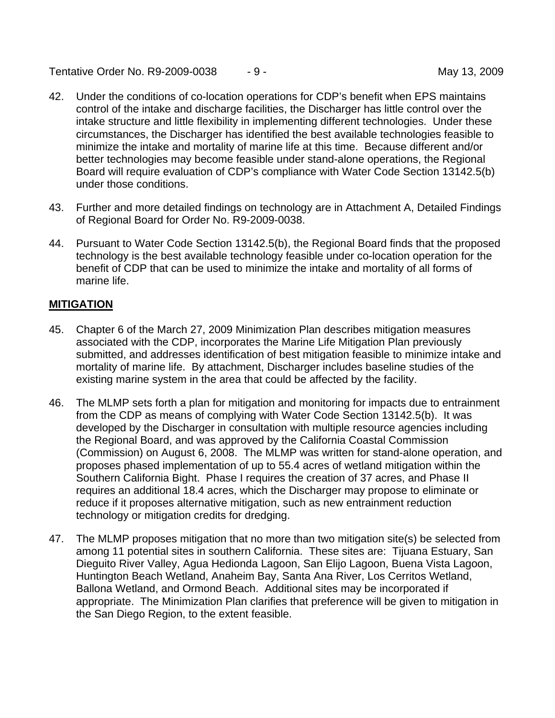Tentative Order No. R9-2009-0038 - 9 - May 13, 2009

- 42. Under the conditions of co-location operations for CDP's benefit when EPS maintains control of the intake and discharge facilities, the Discharger has little control over the intake structure and little flexibility in implementing different technologies. Under these circumstances, the Discharger has identified the best available technologies feasible to minimize the intake and mortality of marine life at this time. Because different and/or better technologies may become feasible under stand-alone operations, the Regional Board will require evaluation of CDP's compliance with Water Code Section 13142.5(b) under those conditions.
- 43. Further and more detailed findings on technology are in Attachment A, Detailed Findings of Regional Board for Order No. R9-2009-0038.
- 44. Pursuant to Water Code Section 13142.5(b), the Regional Board finds that the proposed technology is the best available technology feasible under co-location operation for the benefit of CDP that can be used to minimize the intake and mortality of all forms of marine life.

# **MITIGATION**

- 45. Chapter 6 of the March 27, 2009 Minimization Plan describes mitigation measures associated with the CDP, incorporates the Marine Life Mitigation Plan previously submitted, and addresses identification of best mitigation feasible to minimize intake and mortality of marine life. By attachment, Discharger includes baseline studies of the existing marine system in the area that could be affected by the facility.
- 46. The MLMP sets forth a plan for mitigation and monitoring for impacts due to entrainment from the CDP as means of complying with Water Code Section 13142.5(b). It was developed by the Discharger in consultation with multiple resource agencies including the Regional Board, and was approved by the California Coastal Commission (Commission) on August 6, 2008. The MLMP was written for stand-alone operation, and proposes phased implementation of up to 55.4 acres of wetland mitigation within the Southern California Bight. Phase I requires the creation of 37 acres, and Phase II requires an additional 18.4 acres, which the Discharger may propose to eliminate or reduce if it proposes alternative mitigation, such as new entrainment reduction technology or mitigation credits for dredging.
- 47. The MLMP proposes mitigation that no more than two mitigation site(s) be selected from among 11 potential sites in southern California. These sites are: Tijuana Estuary, San Dieguito River Valley, Agua Hedionda Lagoon, San Elijo Lagoon, Buena Vista Lagoon, Huntington Beach Wetland, Anaheim Bay, Santa Ana River, Los Cerritos Wetland, Ballona Wetland, and Ormond Beach. Additional sites may be incorporated if appropriate. The Minimization Plan clarifies that preference will be given to mitigation in the San Diego Region, to the extent feasible.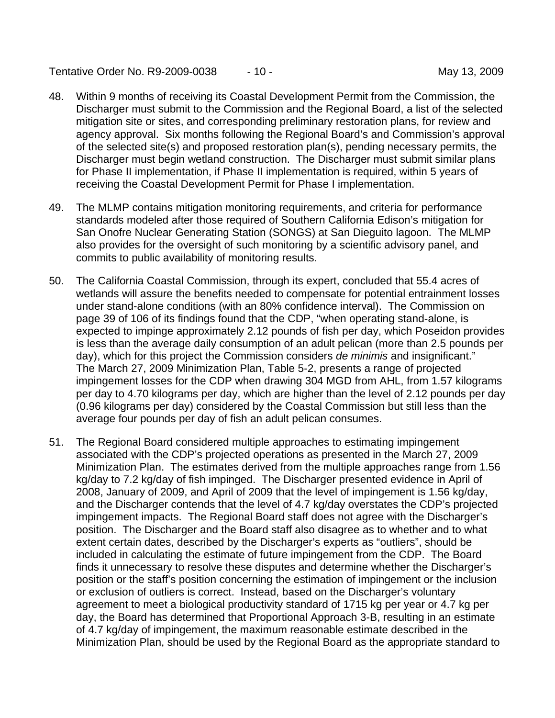Tentative Order No. R9-2009-0038  $-10 -$  May 13, 2009

- 48. Within 9 months of receiving its Coastal Development Permit from the Commission, the Discharger must submit to the Commission and the Regional Board, a list of the selected mitigation site or sites, and corresponding preliminary restoration plans, for review and agency approval. Six months following the Regional Board's and Commission's approval of the selected site(s) and proposed restoration plan(s), pending necessary permits, the Discharger must begin wetland construction. The Discharger must submit similar plans for Phase II implementation, if Phase II implementation is required, within 5 years of receiving the Coastal Development Permit for Phase I implementation.
- 49. The MLMP contains mitigation monitoring requirements, and criteria for performance standards modeled after those required of Southern California Edison's mitigation for San Onofre Nuclear Generating Station (SONGS) at San Dieguito lagoon. The MLMP also provides for the oversight of such monitoring by a scientific advisory panel, and commits to public availability of monitoring results.
- 50. The California Coastal Commission, through its expert, concluded that 55.4 acres of wetlands will assure the benefits needed to compensate for potential entrainment losses under stand-alone conditions (with an 80% confidence interval). The Commission on page 39 of 106 of its findings found that the CDP, "when operating stand-alone, is expected to impinge approximately 2.12 pounds of fish per day, which Poseidon provides is less than the average daily consumption of an adult pelican (more than 2.5 pounds per day), which for this project the Commission considers *de minimis* and insignificant." The March 27, 2009 Minimization Plan, Table 5-2, presents a range of projected impingement losses for the CDP when drawing 304 MGD from AHL, from 1.57 kilograms per day to 4.70 kilograms per day, which are higher than the level of 2.12 pounds per day (0.96 kilograms per day) considered by the Coastal Commission but still less than the average four pounds per day of fish an adult pelican consumes.
- 51. The Regional Board considered multiple approaches to estimating impingement associated with the CDP's projected operations as presented in the March 27, 2009 Minimization Plan. The estimates derived from the multiple approaches range from 1.56 kg/day to 7.2 kg/day of fish impinged. The Discharger presented evidence in April of 2008, January of 2009, and April of 2009 that the level of impingement is 1.56 kg/day, and the Discharger contends that the level of 4.7 kg/day overstates the CDP's projected impingement impacts. The Regional Board staff does not agree with the Discharger's position. The Discharger and the Board staff also disagree as to whether and to what extent certain dates, described by the Discharger's experts as "outliers", should be included in calculating the estimate of future impingement from the CDP. The Board finds it unnecessary to resolve these disputes and determine whether the Discharger's position or the staff's position concerning the estimation of impingement or the inclusion or exclusion of outliers is correct. Instead, based on the Discharger's voluntary agreement to meet a biological productivity standard of 1715 kg per year or 4.7 kg per day, the Board has determined that Proportional Approach 3-B, resulting in an estimate of 4.7 kg/day of impingement, the maximum reasonable estimate described in the Minimization Plan, should be used by the Regional Board as the appropriate standard to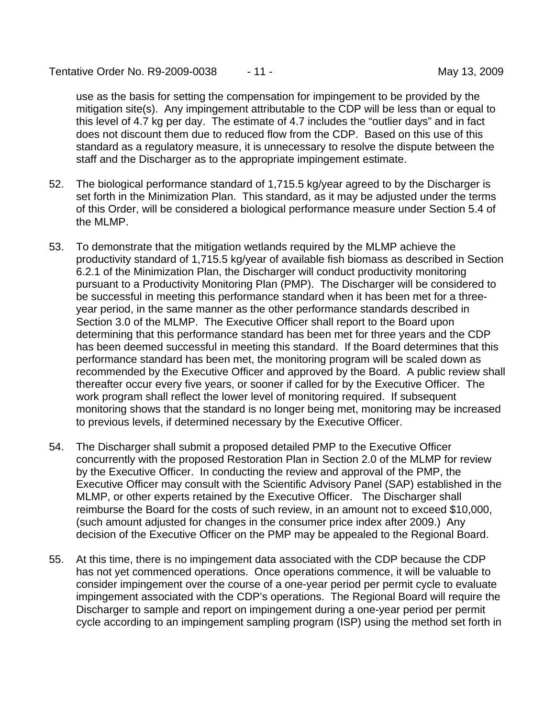Tentative Order No. R9-2009-0038  $-11$  - Tentative Order No. 89-2009-0038

use as the basis for setting the compensation for impingement to be provided by the mitigation site(s). Any impingement attributable to the CDP will be less than or equal to this level of 4.7 kg per day. The estimate of 4.7 includes the "outlier days" and in fact does not discount them due to reduced flow from the CDP. Based on this use of this standard as a regulatory measure, it is unnecessary to resolve the dispute between the staff and the Discharger as to the appropriate impingement estimate.

- 52. The biological performance standard of 1,715.5 kg/year agreed to by the Discharger is set forth in the Minimization Plan. This standard, as it may be adjusted under the terms of this Order, will be considered a biological performance measure under Section 5.4 of the MLMP.
- 53. To demonstrate that the mitigation wetlands required by the MLMP achieve the productivity standard of 1,715.5 kg/year of available fish biomass as described in Section 6.2.1 of the Minimization Plan, the Discharger will conduct productivity monitoring pursuant to a Productivity Monitoring Plan (PMP). The Discharger will be considered to be successful in meeting this performance standard when it has been met for a threeyear period, in the same manner as the other performance standards described in Section 3.0 of the MLMP. The Executive Officer shall report to the Board upon determining that this performance standard has been met for three years and the CDP has been deemed successful in meeting this standard. If the Board determines that this performance standard has been met, the monitoring program will be scaled down as recommended by the Executive Officer and approved by the Board. A public review shall thereafter occur every five years, or sooner if called for by the Executive Officer. The work program shall reflect the lower level of monitoring required. If subsequent monitoring shows that the standard is no longer being met, monitoring may be increased to previous levels, if determined necessary by the Executive Officer.
- 54. The Discharger shall submit a proposed detailed PMP to the Executive Officer concurrently with the proposed Restoration Plan in Section 2.0 of the MLMP for review by the Executive Officer. In conducting the review and approval of the PMP, the Executive Officer may consult with the Scientific Advisory Panel (SAP) established in the MLMP, or other experts retained by the Executive Officer. The Discharger shall reimburse the Board for the costs of such review, in an amount not to exceed \$10,000, (such amount adjusted for changes in the consumer price index after 2009.) Any decision of the Executive Officer on the PMP may be appealed to the Regional Board.
- 55. At this time, there is no impingement data associated with the CDP because the CDP has not yet commenced operations. Once operations commence, it will be valuable to consider impingement over the course of a one-year period per permit cycle to evaluate impingement associated with the CDP's operations. The Regional Board will require the Discharger to sample and report on impingement during a one-year period per permit cycle according to an impingement sampling program (ISP) using the method set forth in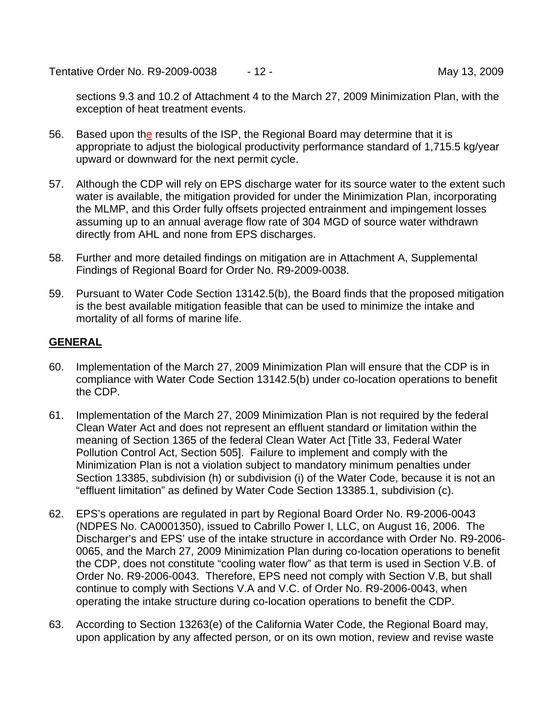Tentative Order No. R9-2009-0038  $-12$  - May 13, 2009

sections 9.3 and 10.2 of Attachment 4 to the March 27, 2009 Minimization Plan, with the exception of heat treatment events.

- 56. Based upon the results of the ISP, the Regional Board may determine that it is appropriate to adjust the biological productivity performance standard of 1,715.5 kg/year upward or downward for the next permit cycle.
- 57. Although the CDP will rely on EPS discharge water for its source water to the extent such water is available, the mitigation provided for under the Minimization Plan, incorporating the MLMP, and this Order fully offsets projected entrainment and impingement losses assuming up to an annual average flow rate of 304 MGD of source water withdrawn directly from AHL and none from EPS discharges.
- 58. Further and more detailed findings on mitigation are in Attachment A, Supplemental Findings of Regional Board for Order No. R9-2009-0038.
- 59. Pursuant to Water Code Section 13142.5(b), the Board finds that the proposed mitigation is the best available mitigation feasible that can be used to minimize the intake and mortality of all forms of marine life.

### **GENERAL**

- 60. Implementation of the March 27, 2009 Minimization Plan will ensure that the CDP is in compliance with Water Code Section 13142.5(b) under co-location operations to benefit the CDP.
- 61. Implementation of the March 27, 2009 Minimization Plan is not required by the federal Clean Water Act and does not represent an effluent standard or limitation within the meaning of Section 1365 of the federal Clean Water Act [Title 33, Federal Water Pollution Control Act, Section 505]. Failure to implement and comply with the Minimization Plan is not a violation subject to mandatory minimum penalties under Section 13385, subdivision (h) or subdivision (i) of the Water Code, because it is not an "effluent limitation" as defined by Water Code Section 13385.1, subdivision (c).
- 62. EPS's operations are regulated in part by Regional Board Order No. R9-2006-0043 (NDPES No. CA0001350), issued to Cabrillo Power I, LLC, on August 16, 2006. The Discharger's and EPS' use of the intake structure in accordance with Order No. R9-2006- 0065, and the March 27, 2009 Minimization Plan during co-location operations to benefit the CDP, does not constitute "cooling water flow" as that term is used in Section V.B. of Order No. R9-2006-0043. Therefore, EPS need not comply with Section V.B, but shall continue to comply with Sections V.A and V.C. of Order No. R9-2006-0043, when operating the intake structure during co-location operations to benefit the CDP.
- 63. According to Section 13263(e) of the California Water Code, the Regional Board may, upon application by any affected person, or on its own motion, review and revise waste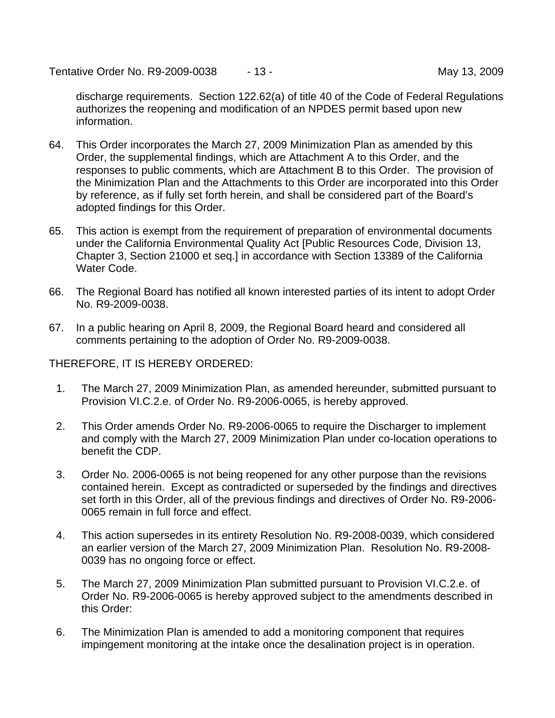Tentative Order No. R9-2009-0038  $-13 -$  May 13, 2009

discharge requirements. Section 122.62(a) of title 40 of the Code of Federal Regulations authorizes the reopening and modification of an NPDES permit based upon new information.

- 64. This Order incorporates the March 27, 2009 Minimization Plan as amended by this Order, the supplemental findings, which are Attachment A to this Order, and the responses to public comments, which are Attachment B to this Order. The provision of the Minimization Plan and the Attachments to this Order are incorporated into this Order by reference, as if fully set forth herein, and shall be considered part of the Board's adopted findings for this Order.
- 65. This action is exempt from the requirement of preparation of environmental documents under the California Environmental Quality Act [Public Resources Code, Division 13, Chapter 3, Section 21000 et seq.] in accordance with Section 13389 of the California Water Code.
- 66. The Regional Board has notified all known interested parties of its intent to adopt Order No. R9-2009-0038.
- 67. In a public hearing on April 8, 2009, the Regional Board heard and considered all comments pertaining to the adoption of Order No. R9-2009-0038.

THEREFORE, IT IS HEREBY ORDERED:

- 1. The March 27, 2009 Minimization Plan, as amended hereunder, submitted pursuant to Provision VI.C.2.e. of Order No. R9-2006-0065, is hereby approved.
- 2. This Order amends Order No. R9-2006-0065 to require the Discharger to implement and comply with the March 27, 2009 Minimization Plan under co-location operations to benefit the CDP.
- 3. Order No. 2006-0065 is not being reopened for any other purpose than the revisions contained herein. Except as contradicted or superseded by the findings and directives set forth in this Order, all of the previous findings and directives of Order No. R9-2006- 0065 remain in full force and effect.
- 4. This action supersedes in its entirety Resolution No. R9-2008-0039, which considered an earlier version of the March 27, 2009 Minimization Plan. Resolution No. R9-2008- 0039 has no ongoing force or effect.
- 5. The March 27, 2009 Minimization Plan submitted pursuant to Provision VI.C.2.e. of Order No. R9-2006-0065 is hereby approved subject to the amendments described in this Order:
- 6. The Minimization Plan is amended to add a monitoring component that requires impingement monitoring at the intake once the desalination project is in operation.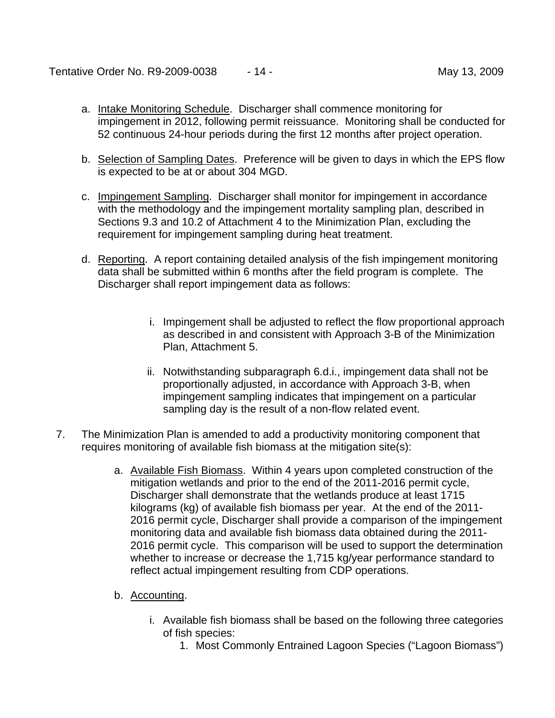- a. Intake Monitoring Schedule. Discharger shall commence monitoring for impingement in 2012, following permit reissuance. Monitoring shall be conducted for 52 continuous 24-hour periods during the first 12 months after project operation.
- b. Selection of Sampling Dates. Preference will be given to days in which the EPS flow is expected to be at or about 304 MGD.
- c. Impingement Sampling. Discharger shall monitor for impingement in accordance with the methodology and the impingement mortality sampling plan, described in Sections 9.3 and 10.2 of Attachment 4 to the Minimization Plan, excluding the requirement for impingement sampling during heat treatment.
- d. Reporting. A report containing detailed analysis of the fish impingement monitoring data shall be submitted within 6 months after the field program is complete. The Discharger shall report impingement data as follows:
	- i. Impingement shall be adjusted to reflect the flow proportional approach as described in and consistent with Approach 3-B of the Minimization Plan, Attachment 5.
	- ii. Notwithstanding subparagraph 6.d.i., impingement data shall not be proportionally adjusted, in accordance with Approach 3-B, when impingement sampling indicates that impingement on a particular sampling day is the result of a non-flow related event.
- 7. The Minimization Plan is amended to add a productivity monitoring component that requires monitoring of available fish biomass at the mitigation site(s):
	- a. Available Fish Biomass. Within 4 years upon completed construction of the mitigation wetlands and prior to the end of the 2011-2016 permit cycle, Discharger shall demonstrate that the wetlands produce at least 1715 kilograms (kg) of available fish biomass per year. At the end of the 2011- 2016 permit cycle, Discharger shall provide a comparison of the impingement monitoring data and available fish biomass data obtained during the 2011- 2016 permit cycle. This comparison will be used to support the determination whether to increase or decrease the 1,715 kg/year performance standard to reflect actual impingement resulting from CDP operations.
	- b. Accounting.
		- i. Available fish biomass shall be based on the following three categories of fish species:
			- 1. Most Commonly Entrained Lagoon Species ("Lagoon Biomass")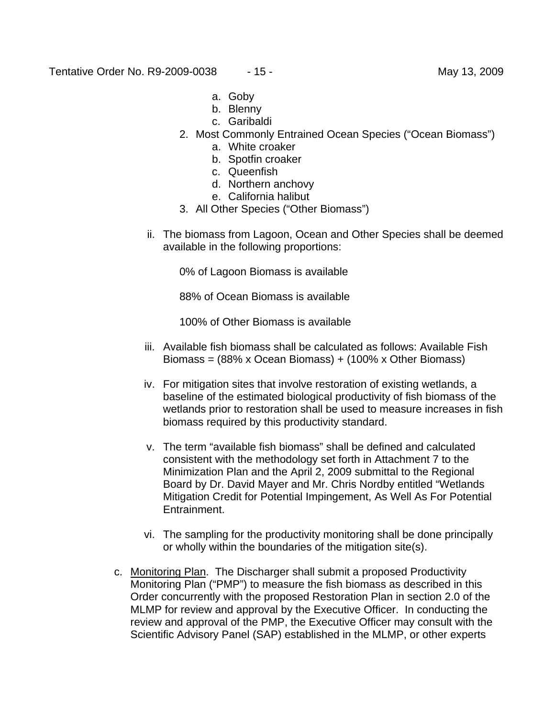- a. Goby
- b. Blenny
- c. Garibaldi
- 2. Most Commonly Entrained Ocean Species ("Ocean Biomass")
	- a. White croaker
	- b. Spotfin croaker
	- c. Queenfish
	- d. Northern anchovy
	- e. California halibut
- 3. All Other Species ("Other Biomass")
- ii. The biomass from Lagoon, Ocean and Other Species shall be deemed available in the following proportions:

0% of Lagoon Biomass is available

88% of Ocean Biomass is available

100% of Other Biomass is available

- iii. Available fish biomass shall be calculated as follows: Available Fish Biomass = (88% x Ocean Biomass) + (100% x Other Biomass)
- iv. For mitigation sites that involve restoration of existing wetlands, a baseline of the estimated biological productivity of fish biomass of the wetlands prior to restoration shall be used to measure increases in fish biomass required by this productivity standard.
- v. The term "available fish biomass" shall be defined and calculated consistent with the methodology set forth in Attachment 7 to the Minimization Plan and the April 2, 2009 submittal to the Regional Board by Dr. David Mayer and Mr. Chris Nordby entitled "Wetlands Mitigation Credit for Potential Impingement, As Well As For Potential Entrainment.
- vi. The sampling for the productivity monitoring shall be done principally or wholly within the boundaries of the mitigation site(s).
- c. Monitoring Plan. The Discharger shall submit a proposed Productivity Monitoring Plan ("PMP") to measure the fish biomass as described in this Order concurrently with the proposed Restoration Plan in section 2.0 of the MLMP for review and approval by the Executive Officer. In conducting the review and approval of the PMP, the Executive Officer may consult with the Scientific Advisory Panel (SAP) established in the MLMP, or other experts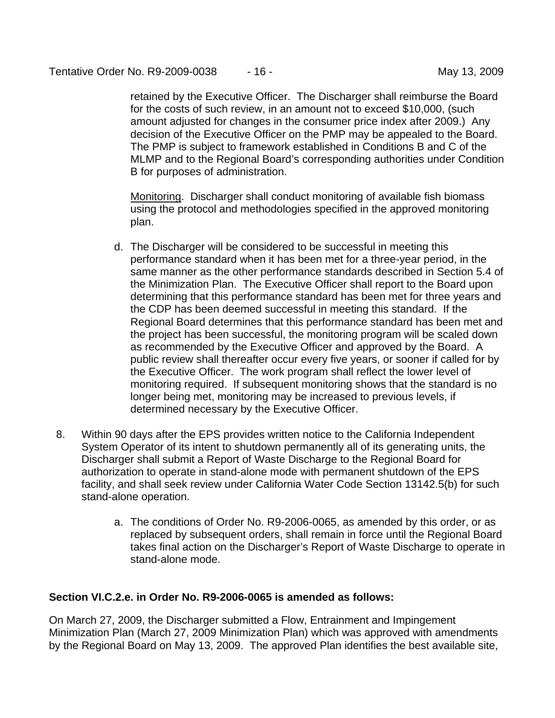retained by the Executive Officer. The Discharger shall reimburse the Board for the costs of such review, in an amount not to exceed \$10,000, (such amount adjusted for changes in the consumer price index after 2009.) Any decision of the Executive Officer on the PMP may be appealed to the Board. The PMP is subject to framework established in Conditions B and C of the MLMP and to the Regional Board's corresponding authorities under Condition B for purposes of administration.

Monitoring. Discharger shall conduct monitoring of available fish biomass using the protocol and methodologies specified in the approved monitoring plan.

- d. The Discharger will be considered to be successful in meeting this performance standard when it has been met for a three-year period, in the same manner as the other performance standards described in Section 5.4 of the Minimization Plan. The Executive Officer shall report to the Board upon determining that this performance standard has been met for three years and the CDP has been deemed successful in meeting this standard. If the Regional Board determines that this performance standard has been met and the project has been successful, the monitoring program will be scaled down as recommended by the Executive Officer and approved by the Board. A public review shall thereafter occur every five years, or sooner if called for by the Executive Officer. The work program shall reflect the lower level of monitoring required. If subsequent monitoring shows that the standard is no longer being met, monitoring may be increased to previous levels, if determined necessary by the Executive Officer.
- 8. Within 90 days after the EPS provides written notice to the California Independent System Operator of its intent to shutdown permanently all of its generating units, the Discharger shall submit a Report of Waste Discharge to the Regional Board for authorization to operate in stand-alone mode with permanent shutdown of the EPS facility, and shall seek review under California Water Code Section 13142.5(b) for such stand-alone operation.
	- a. The conditions of Order No. R9-2006-0065, as amended by this order, or as replaced by subsequent orders, shall remain in force until the Regional Board takes final action on the Discharger's Report of Waste Discharge to operate in stand-alone mode.

## **Section VI.C.2.e. in Order No. R9-2006-0065 is amended as follows:**

On March 27, 2009, the Discharger submitted a Flow, Entrainment and Impingement Minimization Plan (March 27, 2009 Minimization Plan) which was approved with amendments by the Regional Board on May 13, 2009. The approved Plan identifies the best available site,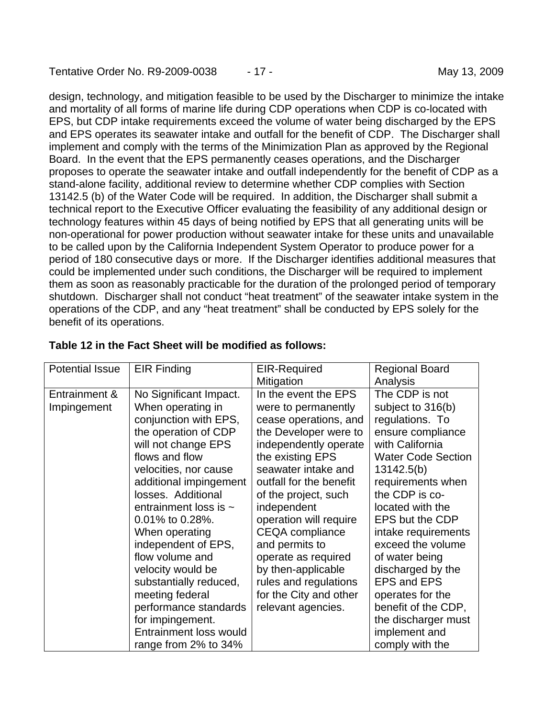design, technology, and mitigation feasible to be used by the Discharger to minimize the intake and mortality of all forms of marine life during CDP operations when CDP is co-located with EPS, but CDP intake requirements exceed the volume of water being discharged by the EPS and EPS operates its seawater intake and outfall for the benefit of CDP. The Discharger shall implement and comply with the terms of the Minimization Plan as approved by the Regional Board. In the event that the EPS permanently ceases operations, and the Discharger proposes to operate the seawater intake and outfall independently for the benefit of CDP as a stand-alone facility, additional review to determine whether CDP complies with Section 13142.5 (b) of the Water Code will be required. In addition, the Discharger shall submit a technical report to the Executive Officer evaluating the feasibility of any additional design or technology features within 45 days of being notified by EPS that all generating units will be non-operational for power production without seawater intake for these units and unavailable to be called upon by the California Independent System Operator to produce power for a period of 180 consecutive days or more. If the Discharger identifies additional measures that could be implemented under such conditions, the Discharger will be required to implement them as soon as reasonably practicable for the duration of the prolonged period of temporary shutdown. Discharger shall not conduct "heat treatment" of the seawater intake system in the operations of the CDP, and any "heat treatment" shall be conducted by EPS solely for the benefit of its operations.

| <b>Potential Issue</b> | <b>EIR Finding</b>         | <b>EIR-Required</b>     | <b>Regional Board</b>     |
|------------------------|----------------------------|-------------------------|---------------------------|
|                        |                            | Mitigation              | Analysis                  |
| Entrainment &          | No Significant Impact.     | In the event the EPS    | The CDP is not            |
| Impingement            | When operating in          | were to permanently     | subject to 316(b)         |
|                        | conjunction with EPS,      | cease operations, and   | regulations. To           |
|                        | the operation of CDP       | the Developer were to   | ensure compliance         |
|                        | will not change EPS        | independently operate   | with California           |
|                        | flows and flow             | the existing EPS        | <b>Water Code Section</b> |
|                        | velocities, nor cause      | seawater intake and     | 13142.5(b)                |
|                        | additional impingement     | outfall for the benefit | requirements when         |
|                        | losses. Additional         | of the project, such    | the CDP is co-            |
|                        | entrainment loss is $\sim$ | independent             | located with the          |
|                        | $0.01\%$ to 0.28%.         | operation will require  | EPS but the CDP           |
|                        | When operating             | <b>CEQA</b> compliance  | intake requirements       |
|                        | independent of EPS,        | and permits to          | exceed the volume         |
|                        | flow volume and            | operate as required     | of water being            |
|                        | velocity would be          | by then-applicable      | discharged by the         |
|                        | substantially reduced,     | rules and regulations   | EPS and EPS               |
|                        | meeting federal            | for the City and other  | operates for the          |
|                        | performance standards      | relevant agencies.      | benefit of the CDP,       |
|                        | for impingement.           |                         | the discharger must       |
|                        | Entrainment loss would     |                         | implement and             |
|                        | range from 2% to 34%       |                         | comply with the           |

### **Table 12 in the Fact Sheet will be modified as follows:**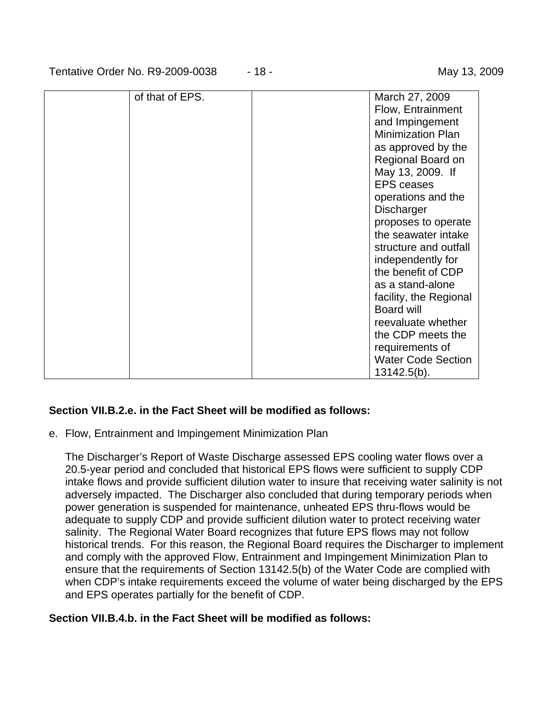Tentative Order No. R9-2009-0038  $-18 -$  May 13, 2009

| of that of EPS. | March 27, 2009            |
|-----------------|---------------------------|
|                 | Flow, Entrainment         |
|                 | and Impingement           |
|                 | <b>Minimization Plan</b>  |
|                 |                           |
|                 | as approved by the        |
|                 | Regional Board on         |
|                 | May 13, 2009. If          |
|                 | <b>EPS</b> ceases         |
|                 | operations and the        |
|                 | Discharger                |
|                 | proposes to operate       |
|                 | the seawater intake       |
|                 | structure and outfall     |
|                 | independently for         |
|                 | the benefit of CDP        |
|                 | as a stand-alone          |
|                 | facility, the Regional    |
|                 | Board will                |
|                 | reevaluate whether        |
|                 | the CDP meets the         |
|                 |                           |
|                 | requirements of           |
|                 | <b>Water Code Section</b> |
|                 | $13142.5(b)$ .            |

### **Section VII.B.2.e. in the Fact Sheet will be modified as follows:**

e. Flow, Entrainment and Impingement Minimization Plan

 The Discharger's Report of Waste Discharge assessed EPS cooling water flows over a 20.5-year period and concluded that historical EPS flows were sufficient to supply CDP intake flows and provide sufficient dilution water to insure that receiving water salinity is not adversely impacted. The Discharger also concluded that during temporary periods when power generation is suspended for maintenance, unheated EPS thru-flows would be adequate to supply CDP and provide sufficient dilution water to protect receiving water salinity. The Regional Water Board recognizes that future EPS flows may not follow historical trends. For this reason, the Regional Board requires the Discharger to implement and comply with the approved Flow, Entrainment and Impingement Minimization Plan to ensure that the requirements of Section 13142.5(b) of the Water Code are complied with when CDP's intake requirements exceed the volume of water being discharged by the EPS and EPS operates partially for the benefit of CDP.

### **Section VII.B.4.b. in the Fact Sheet will be modified as follows:**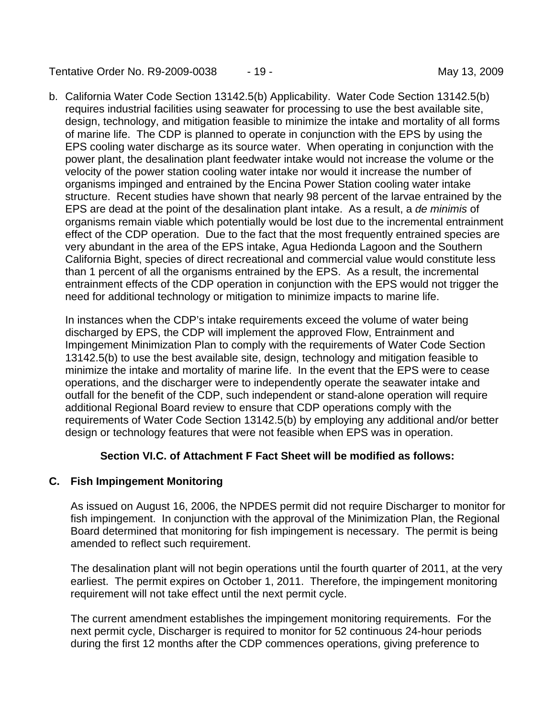Tentative Order No. R9-2009-0038  $-19 -$  May 13, 2009

b. California Water Code Section 13142.5(b) Applicability. Water Code Section 13142.5(b) requires industrial facilities using seawater for processing to use the best available site, design, technology, and mitigation feasible to minimize the intake and mortality of all forms of marine life. The CDP is planned to operate in conjunction with the EPS by using the EPS cooling water discharge as its source water. When operating in conjunction with the power plant, the desalination plant feedwater intake would not increase the volume or the velocity of the power station cooling water intake nor would it increase the number of organisms impinged and entrained by the Encina Power Station cooling water intake structure. Recent studies have shown that nearly 98 percent of the larvae entrained by the EPS are dead at the point of the desalination plant intake. As a result, a *de minimis* of organisms remain viable which potentially would be lost due to the incremental entrainment effect of the CDP operation. Due to the fact that the most frequently entrained species are very abundant in the area of the EPS intake, Agua Hedionda Lagoon and the Southern California Bight, species of direct recreational and commercial value would constitute less than 1 percent of all the organisms entrained by the EPS. As a result, the incremental entrainment effects of the CDP operation in conjunction with the EPS would not trigger the need for additional technology or mitigation to minimize impacts to marine life.

 In instances when the CDP's intake requirements exceed the volume of water being discharged by EPS, the CDP will implement the approved Flow, Entrainment and Impingement Minimization Plan to comply with the requirements of Water Code Section 13142.5(b) to use the best available site, design, technology and mitigation feasible to minimize the intake and mortality of marine life. In the event that the EPS were to cease operations, and the discharger were to independently operate the seawater intake and outfall for the benefit of the CDP, such independent or stand-alone operation will require additional Regional Board review to ensure that CDP operations comply with the requirements of Water Code Section 13142.5(b) by employing any additional and/or better design or technology features that were not feasible when EPS was in operation.

### **Section VI.C. of Attachment F Fact Sheet will be modified as follows:**

### **C. Fish Impingement Monitoring**

As issued on August 16, 2006, the NPDES permit did not require Discharger to monitor for fish impingement. In conjunction with the approval of the Minimization Plan, the Regional Board determined that monitoring for fish impingement is necessary. The permit is being amended to reflect such requirement.

The desalination plant will not begin operations until the fourth quarter of 2011, at the very earliest. The permit expires on October 1, 2011. Therefore, the impingement monitoring requirement will not take effect until the next permit cycle.

The current amendment establishes the impingement monitoring requirements. For the next permit cycle, Discharger is required to monitor for 52 continuous 24-hour periods during the first 12 months after the CDP commences operations, giving preference to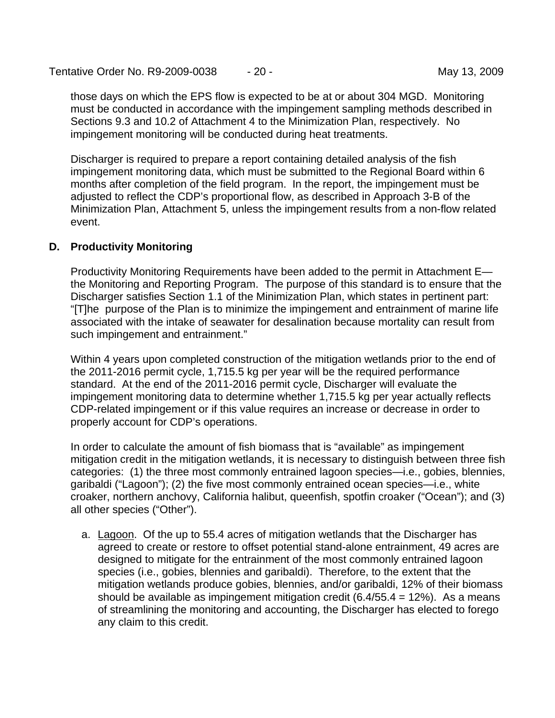Tentative Order No. R9-2009-0038  $-20 -$  May 13, 2009

those days on which the EPS flow is expected to be at or about 304 MGD. Monitoring must be conducted in accordance with the impingement sampling methods described in Sections 9.3 and 10.2 of Attachment 4 to the Minimization Plan, respectively. No impingement monitoring will be conducted during heat treatments.

Discharger is required to prepare a report containing detailed analysis of the fish impingement monitoring data, which must be submitted to the Regional Board within 6 months after completion of the field program. In the report, the impingement must be adjusted to reflect the CDP's proportional flow, as described in Approach 3-B of the Minimization Plan, Attachment 5, unless the impingement results from a non-flow related event.

#### **D. Productivity Monitoring**

Productivity Monitoring Requirements have been added to the permit in Attachment E the Monitoring and Reporting Program. The purpose of this standard is to ensure that the Discharger satisfies Section 1.1 of the Minimization Plan, which states in pertinent part: "[T]he purpose of the Plan is to minimize the impingement and entrainment of marine life associated with the intake of seawater for desalination because mortality can result from such impingement and entrainment."

Within 4 years upon completed construction of the mitigation wetlands prior to the end of the 2011-2016 permit cycle, 1,715.5 kg per year will be the required performance standard. At the end of the 2011-2016 permit cycle, Discharger will evaluate the impingement monitoring data to determine whether 1,715.5 kg per year actually reflects CDP-related impingement or if this value requires an increase or decrease in order to properly account for CDP's operations.

In order to calculate the amount of fish biomass that is "available" as impingement mitigation credit in the mitigation wetlands, it is necessary to distinguish between three fish categories: (1) the three most commonly entrained lagoon species—i.e., gobies, blennies, garibaldi ("Lagoon"); (2) the five most commonly entrained ocean species—i.e., white croaker, northern anchovy, California halibut, queenfish, spotfin croaker ("Ocean"); and (3) all other species ("Other").

a. Lagoon. Of the up to 55.4 acres of mitigation wetlands that the Discharger has agreed to create or restore to offset potential stand-alone entrainment, 49 acres are designed to mitigate for the entrainment of the most commonly entrained lagoon species (i.e., gobies, blennies and garibaldi). Therefore, to the extent that the mitigation wetlands produce gobies, blennies, and/or garibaldi, 12% of their biomass should be available as impingement mitigation credit  $(6.4/55.4 = 12%)$ . As a means of streamlining the monitoring and accounting, the Discharger has elected to forego any claim to this credit.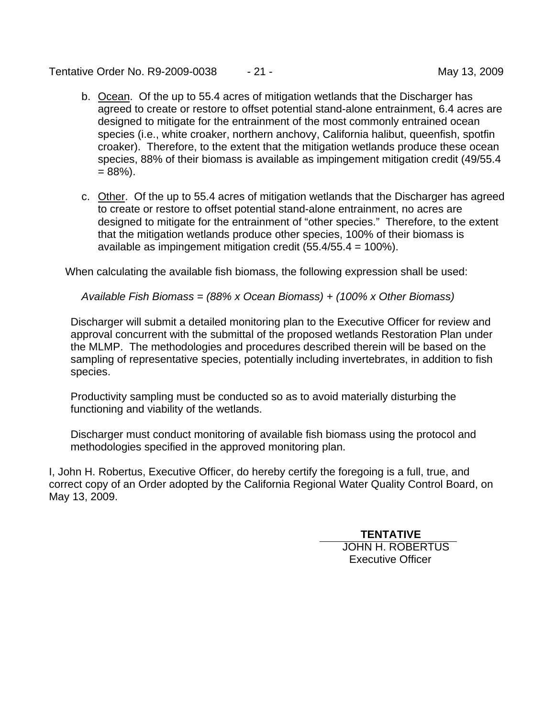Tentative Order No. R9-2009-0038  $-21$  - Tentative Order No. 89-2009

- b. Ocean. Of the up to 55.4 acres of mitigation wetlands that the Discharger has agreed to create or restore to offset potential stand-alone entrainment, 6.4 acres are designed to mitigate for the entrainment of the most commonly entrained ocean species (i.e., white croaker, northern anchovy, California halibut, queenfish, spotfin croaker). Therefore, to the extent that the mitigation wetlands produce these ocean species, 88% of their biomass is available as impingement mitigation credit (49/55.4  $= 88\%$ ).
- c. Other. Of the up to 55.4 acres of mitigation wetlands that the Discharger has agreed to create or restore to offset potential stand-alone entrainment, no acres are designed to mitigate for the entrainment of "other species." Therefore, to the extent that the mitigation wetlands produce other species, 100% of their biomass is available as impingement mitigation credit (55.4/55.4 = 100%).

When calculating the available fish biomass, the following expression shall be used:

*Available Fish Biomass = (88% x Ocean Biomass) + (100% x Other Biomass)* 

Discharger will submit a detailed monitoring plan to the Executive Officer for review and approval concurrent with the submittal of the proposed wetlands Restoration Plan under the MLMP. The methodologies and procedures described therein will be based on the sampling of representative species, potentially including invertebrates, in addition to fish species.

Productivity sampling must be conducted so as to avoid materially disturbing the functioning and viability of the wetlands.

Discharger must conduct monitoring of available fish biomass using the protocol and methodologies specified in the approved monitoring plan.

I, John H. Robertus, Executive Officer, do hereby certify the foregoing is a full, true, and correct copy of an Order adopted by the California Regional Water Quality Control Board, on May 13, 2009.

# **TENTATIVE**

JOHN H. ROBERTUS Executive Officer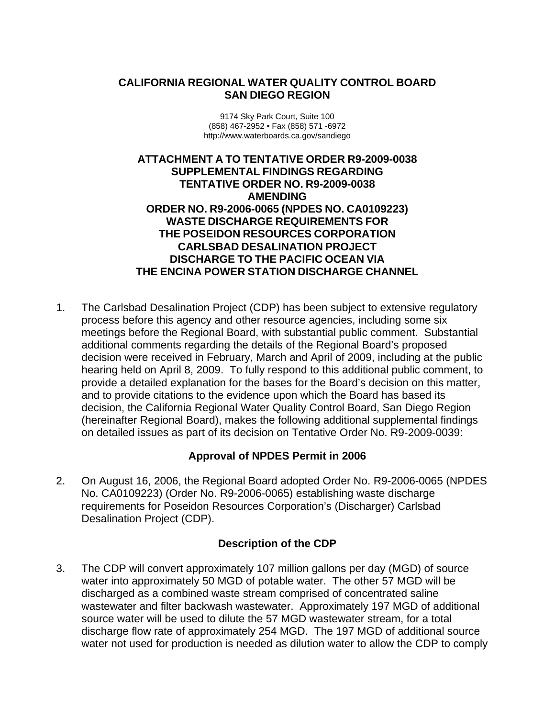### **CALIFORNIA REGIONAL WATER QUALITY CONTROL BOARD SAN DIEGO REGION**

9174 Sky Park Court, Suite 100 (858) 467-2952 • Fax (858) 571 -6972 http://www.waterboards.ca.gov/sandiego

**ATTACHMENT A TO TENTATIVE ORDER R9-2009-0038 SUPPLEMENTAL FINDINGS REGARDING TENTATIVE ORDER NO. R9-2009-0038 AMENDING ORDER NO. R9-2006-0065 (NPDES NO. CA0109223) WASTE DISCHARGE REQUIREMENTS FOR THE POSEIDON RESOURCES CORPORATION CARLSBAD DESALINATION PROJECT DISCHARGE TO THE PACIFIC OCEAN VIA THE ENCINA POWER STATION DISCHARGE CHANNEL** 

1. The Carlsbad Desalination Project (CDP) has been subject to extensive regulatory process before this agency and other resource agencies, including some six meetings before the Regional Board, with substantial public comment. Substantial additional comments regarding the details of the Regional Board's proposed decision were received in February, March and April of 2009, including at the public hearing held on April 8, 2009. To fully respond to this additional public comment, to provide a detailed explanation for the bases for the Board's decision on this matter, and to provide citations to the evidence upon which the Board has based its decision, the California Regional Water Quality Control Board, San Diego Region (hereinafter Regional Board), makes the following additional supplemental findings on detailed issues as part of its decision on Tentative Order No. R9-2009-0039:

## **Approval of NPDES Permit in 2006**

2. On August 16, 2006, the Regional Board adopted Order No. R9-2006-0065 (NPDES No. CA0109223) (Order No. R9-2006-0065) establishing waste discharge requirements for Poseidon Resources Corporation's (Discharger) Carlsbad Desalination Project (CDP).

### **Description of the CDP**

3. The CDP will convert approximately 107 million gallons per day (MGD) of source water into approximately 50 MGD of potable water. The other 57 MGD will be discharged as a combined waste stream comprised of concentrated saline wastewater and filter backwash wastewater. Approximately 197 MGD of additional source water will be used to dilute the 57 MGD wastewater stream, for a total discharge flow rate of approximately 254 MGD. The 197 MGD of additional source water not used for production is needed as dilution water to allow the CDP to comply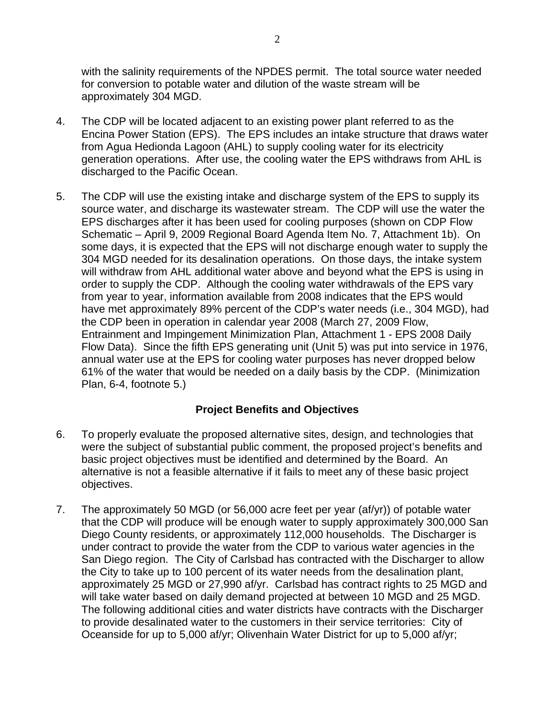with the salinity requirements of the NPDES permit. The total source water needed for conversion to potable water and dilution of the waste stream will be approximately 304 MGD.

- 4. The CDP will be located adjacent to an existing power plant referred to as the Encina Power Station (EPS). The EPS includes an intake structure that draws water from Agua Hedionda Lagoon (AHL) to supply cooling water for its electricity generation operations. After use, the cooling water the EPS withdraws from AHL is discharged to the Pacific Ocean.
- 5. The CDP will use the existing intake and discharge system of the EPS to supply its source water, and discharge its wastewater stream. The CDP will use the water the EPS discharges after it has been used for cooling purposes (shown on CDP Flow Schematic – April 9, 2009 Regional Board Agenda Item No. 7, Attachment 1b). On some days, it is expected that the EPS will not discharge enough water to supply the 304 MGD needed for its desalination operations. On those days, the intake system will withdraw from AHL additional water above and beyond what the EPS is using in order to supply the CDP. Although the cooling water withdrawals of the EPS vary from year to year, information available from 2008 indicates that the EPS would have met approximately 89% percent of the CDP's water needs (i.e., 304 MGD), had the CDP been in operation in calendar year 2008 (March 27, 2009 Flow, Entrainment and Impingement Minimization Plan, Attachment 1 - EPS 2008 Daily Flow Data). Since the fifth EPS generating unit (Unit 5) was put into service in 1976, annual water use at the EPS for cooling water purposes has never dropped below 61% of the water that would be needed on a daily basis by the CDP. (Minimization Plan, 6-4, footnote 5.)

## **Project Benefits and Objectives**

- 6. To properly evaluate the proposed alternative sites, design, and technologies that were the subject of substantial public comment, the proposed project's benefits and basic project objectives must be identified and determined by the Board. An alternative is not a feasible alternative if it fails to meet any of these basic project objectives.
- 7. The approximately 50 MGD (or 56,000 acre feet per year (af/yr)) of potable water that the CDP will produce will be enough water to supply approximately 300,000 San Diego County residents, or approximately 112,000 households. The Discharger is under contract to provide the water from the CDP to various water agencies in the San Diego region. The City of Carlsbad has contracted with the Discharger to allow the City to take up to 100 percent of its water needs from the desalination plant, approximately 25 MGD or 27,990 af/yr. Carlsbad has contract rights to 25 MGD and will take water based on daily demand projected at between 10 MGD and 25 MGD. The following additional cities and water districts have contracts with the Discharger to provide desalinated water to the customers in their service territories: City of Oceanside for up to 5,000 af/yr; Olivenhain Water District for up to 5,000 af/yr;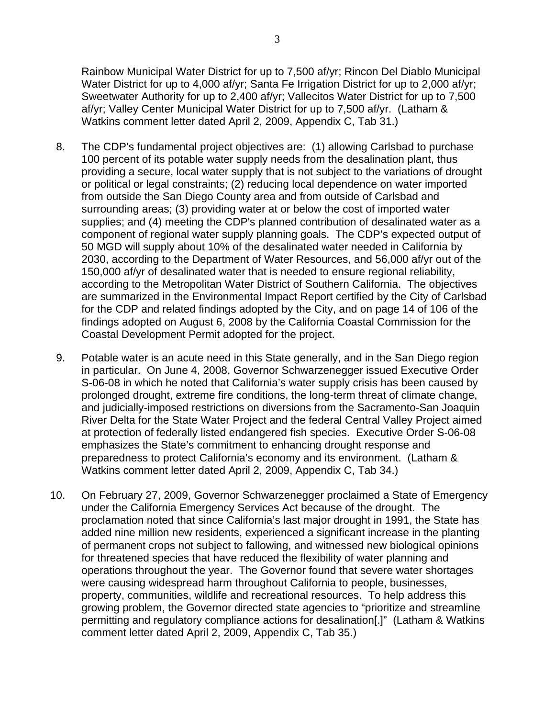Rainbow Municipal Water District for up to 7,500 af/yr; Rincon Del Diablo Municipal Water District for up to 4,000 af/yr; Santa Fe Irrigation District for up to 2,000 af/yr; Sweetwater Authority for up to 2,400 af/yr; Vallecitos Water District for up to 7,500 af/yr; Valley Center Municipal Water District for up to 7,500 af/yr. (Latham & Watkins comment letter dated April 2, 2009, Appendix C, Tab 31.)

- 8. The CDP's fundamental project objectives are: (1) allowing Carlsbad to purchase 100 percent of its potable water supply needs from the desalination plant, thus providing a secure, local water supply that is not subject to the variations of drought or political or legal constraints; (2) reducing local dependence on water imported from outside the San Diego County area and from outside of Carlsbad and surrounding areas; (3) providing water at or below the cost of imported water supplies; and (4) meeting the CDP's planned contribution of desalinated water as a component of regional water supply planning goals. The CDP's expected output of 50 MGD will supply about 10% of the desalinated water needed in California by 2030, according to the Department of Water Resources, and 56,000 af/yr out of the 150,000 af/yr of desalinated water that is needed to ensure regional reliability, according to the Metropolitan Water District of Southern California. The objectives are summarized in the Environmental Impact Report certified by the City of Carlsbad for the CDP and related findings adopted by the City, and on page 14 of 106 of the findings adopted on August 6, 2008 by the California Coastal Commission for the Coastal Development Permit adopted for the project.
- 9. Potable water is an acute need in this State generally, and in the San Diego region in particular. On June 4, 2008, Governor Schwarzenegger issued Executive Order S-06-08 in which he noted that California's water supply crisis has been caused by prolonged drought, extreme fire conditions, the long-term threat of climate change, and judicially-imposed restrictions on diversions from the Sacramento-San Joaquin River Delta for the State Water Project and the federal Central Valley Project aimed at protection of federally listed endangered fish species. Executive Order S-06-08 emphasizes the State's commitment to enhancing drought response and preparedness to protect California's economy and its environment. (Latham & Watkins comment letter dated April 2, 2009, Appendix C, Tab 34.)
- 10. On February 27, 2009, Governor Schwarzenegger proclaimed a State of Emergency under the California Emergency Services Act because of the drought. The proclamation noted that since California's last major drought in 1991, the State has added nine million new residents, experienced a significant increase in the planting of permanent crops not subject to fallowing, and witnessed new biological opinions for threatened species that have reduced the flexibility of water planning and operations throughout the year. The Governor found that severe water shortages were causing widespread harm throughout California to people, businesses, property, communities, wildlife and recreational resources. To help address this growing problem, the Governor directed state agencies to "prioritize and streamline permitting and regulatory compliance actions for desalination[.]" (Latham & Watkins comment letter dated April 2, 2009, Appendix C, Tab 35.)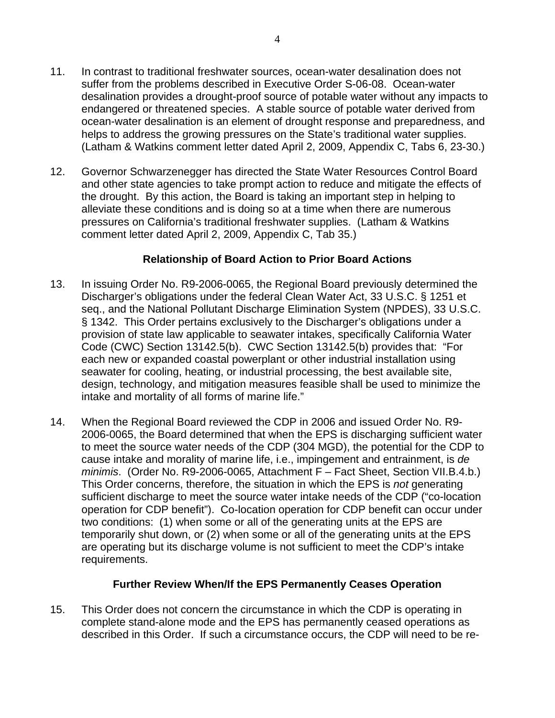- 11. In contrast to traditional freshwater sources, ocean-water desalination does not suffer from the problems described in Executive Order S-06-08. Ocean-water desalination provides a drought-proof source of potable water without any impacts to endangered or threatened species. A stable source of potable water derived from ocean-water desalination is an element of drought response and preparedness, and helps to address the growing pressures on the State's traditional water supplies. (Latham & Watkins comment letter dated April 2, 2009, Appendix C, Tabs 6, 23-30.)
- 12. Governor Schwarzenegger has directed the State Water Resources Control Board and other state agencies to take prompt action to reduce and mitigate the effects of the drought. By this action, the Board is taking an important step in helping to alleviate these conditions and is doing so at a time when there are numerous pressures on California's traditional freshwater supplies. (Latham & Watkins comment letter dated April 2, 2009, Appendix C, Tab 35.)

### **Relationship of Board Action to Prior Board Actions**

- 13. In issuing Order No. R9-2006-0065, the Regional Board previously determined the Discharger's obligations under the federal Clean Water Act, 33 U.S.C. § 1251 et seq., and the National Pollutant Discharge Elimination System (NPDES), 33 U.S.C. § 1342. This Order pertains exclusively to the Discharger's obligations under a provision of state law applicable to seawater intakes, specifically California Water Code (CWC) Section 13142.5(b). CWC Section 13142.5(b) provides that: "For each new or expanded coastal powerplant or other industrial installation using seawater for cooling, heating, or industrial processing, the best available site, design, technology, and mitigation measures feasible shall be used to minimize the intake and mortality of all forms of marine life."
- 14. When the Regional Board reviewed the CDP in 2006 and issued Order No. R9- 2006-0065, the Board determined that when the EPS is discharging sufficient water to meet the source water needs of the CDP (304 MGD), the potential for the CDP to cause intake and morality of marine life, i.e., impingement and entrainment, is *de minimis*. (Order No. R9-2006-0065, Attachment F – Fact Sheet, Section VII.B.4.b.) This Order concerns, therefore, the situation in which the EPS is *not* generating sufficient discharge to meet the source water intake needs of the CDP ("co-location operation for CDP benefit"). Co-location operation for CDP benefit can occur under two conditions: (1) when some or all of the generating units at the EPS are temporarily shut down, or (2) when some or all of the generating units at the EPS are operating but its discharge volume is not sufficient to meet the CDP's intake requirements.

## **Further Review When/If the EPS Permanently Ceases Operation**

15. This Order does not concern the circumstance in which the CDP is operating in complete stand-alone mode and the EPS has permanently ceased operations as described in this Order. If such a circumstance occurs, the CDP will need to be re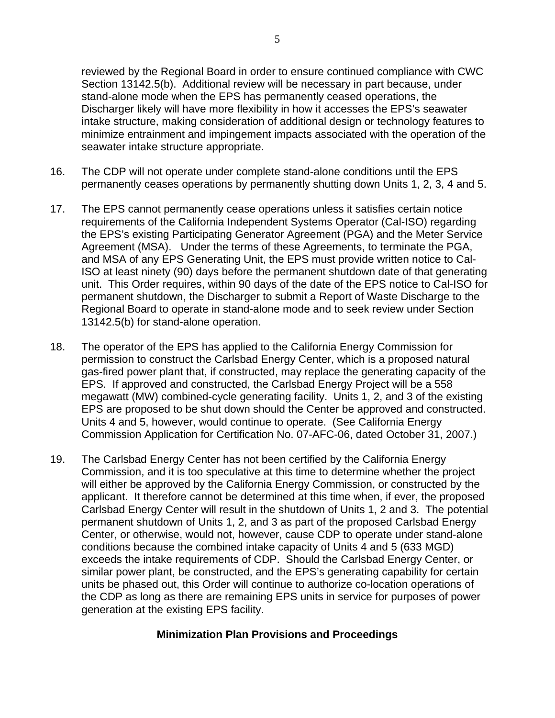reviewed by the Regional Board in order to ensure continued compliance with CWC Section 13142.5(b). Additional review will be necessary in part because, under stand-alone mode when the EPS has permanently ceased operations, the Discharger likely will have more flexibility in how it accesses the EPS's seawater intake structure, making consideration of additional design or technology features to minimize entrainment and impingement impacts associated with the operation of the seawater intake structure appropriate.

- 16. The CDP will not operate under complete stand-alone conditions until the EPS permanently ceases operations by permanently shutting down Units 1, 2, 3, 4 and 5.
- 17. The EPS cannot permanently cease operations unless it satisfies certain notice requirements of the California Independent Systems Operator (Cal-ISO) regarding the EPS's existing Participating Generator Agreement (PGA) and the Meter Service Agreement (MSA). Under the terms of these Agreements, to terminate the PGA, and MSA of any EPS Generating Unit, the EPS must provide written notice to Cal-ISO at least ninety (90) days before the permanent shutdown date of that generating unit. This Order requires, within 90 days of the date of the EPS notice to Cal-ISO for permanent shutdown, the Discharger to submit a Report of Waste Discharge to the Regional Board to operate in stand-alone mode and to seek review under Section 13142.5(b) for stand-alone operation.
- 18. The operator of the EPS has applied to the California Energy Commission for permission to construct the Carlsbad Energy Center, which is a proposed natural gas-fired power plant that, if constructed, may replace the generating capacity of the EPS. If approved and constructed, the Carlsbad Energy Project will be a 558 megawatt (MW) combined-cycle generating facility. Units 1, 2, and 3 of the existing EPS are proposed to be shut down should the Center be approved and constructed. Units 4 and 5, however, would continue to operate. (See California Energy Commission Application for Certification No. 07-AFC-06, dated October 31, 2007.)
- 19. The Carlsbad Energy Center has not been certified by the California Energy Commission, and it is too speculative at this time to determine whether the project will either be approved by the California Energy Commission, or constructed by the applicant. It therefore cannot be determined at this time when, if ever, the proposed Carlsbad Energy Center will result in the shutdown of Units 1, 2 and 3. The potential permanent shutdown of Units 1, 2, and 3 as part of the proposed Carlsbad Energy Center, or otherwise, would not, however, cause CDP to operate under stand-alone conditions because the combined intake capacity of Units 4 and 5 (633 MGD) exceeds the intake requirements of CDP. Should the Carlsbad Energy Center, or similar power plant, be constructed, and the EPS's generating capability for certain units be phased out, this Order will continue to authorize co-location operations of the CDP as long as there are remaining EPS units in service for purposes of power generation at the existing EPS facility.

## **Minimization Plan Provisions and Proceedings**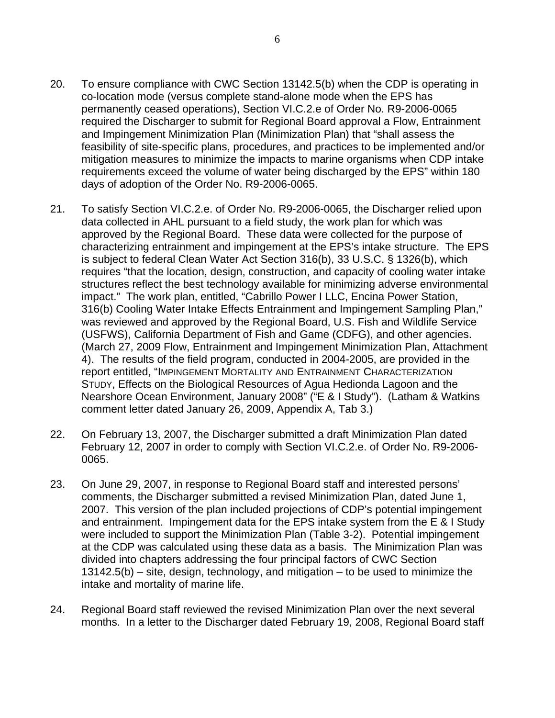- 20. To ensure compliance with CWC Section 13142.5(b) when the CDP is operating in co-location mode (versus complete stand-alone mode when the EPS has permanently ceased operations), Section VI.C.2.e of Order No. R9-2006-0065 required the Discharger to submit for Regional Board approval a Flow, Entrainment and Impingement Minimization Plan (Minimization Plan) that "shall assess the feasibility of site-specific plans, procedures, and practices to be implemented and/or mitigation measures to minimize the impacts to marine organisms when CDP intake requirements exceed the volume of water being discharged by the EPS" within 180 days of adoption of the Order No. R9-2006-0065.
- 21. To satisfy Section VI.C.2.e. of Order No. R9-2006-0065, the Discharger relied upon data collected in AHL pursuant to a field study, the work plan for which was approved by the Regional Board. These data were collected for the purpose of characterizing entrainment and impingement at the EPS's intake structure. The EPS is subject to federal Clean Water Act Section 316(b), 33 U.S.C. § 1326(b), which requires "that the location, design, construction, and capacity of cooling water intake structures reflect the best technology available for minimizing adverse environmental impact." The work plan, entitled, "Cabrillo Power I LLC, Encina Power Station, 316(b) Cooling Water Intake Effects Entrainment and Impingement Sampling Plan," was reviewed and approved by the Regional Board, U.S. Fish and Wildlife Service (USFWS), California Department of Fish and Game (CDFG), and other agencies. (March 27, 2009 Flow, Entrainment and Impingement Minimization Plan, Attachment 4). The results of the field program, conducted in 2004-2005, are provided in the report entitled, "IMPINGEMENT MORTALITY AND ENTRAINMENT CHARACTERIZATION STUDY, Effects on the Biological Resources of Agua Hedionda Lagoon and the Nearshore Ocean Environment, January 2008" ("E & I Study"). (Latham & Watkins comment letter dated January 26, 2009, Appendix A, Tab 3.)
- 22. On February 13, 2007, the Discharger submitted a draft Minimization Plan dated February 12, 2007 in order to comply with Section VI.C.2.e. of Order No. R9-2006- 0065.
- 23. On June 29, 2007, in response to Regional Board staff and interested persons' comments, the Discharger submitted a revised Minimization Plan, dated June 1, 2007. This version of the plan included projections of CDP's potential impingement and entrainment. Impingement data for the EPS intake system from the E & I Study were included to support the Minimization Plan (Table 3-2). Potential impingement at the CDP was calculated using these data as a basis. The Minimization Plan was divided into chapters addressing the four principal factors of CWC Section 13142.5(b) – site, design, technology, and mitigation – to be used to minimize the intake and mortality of marine life.
- 24. Regional Board staff reviewed the revised Minimization Plan over the next several months. In a letter to the Discharger dated February 19, 2008, Regional Board staff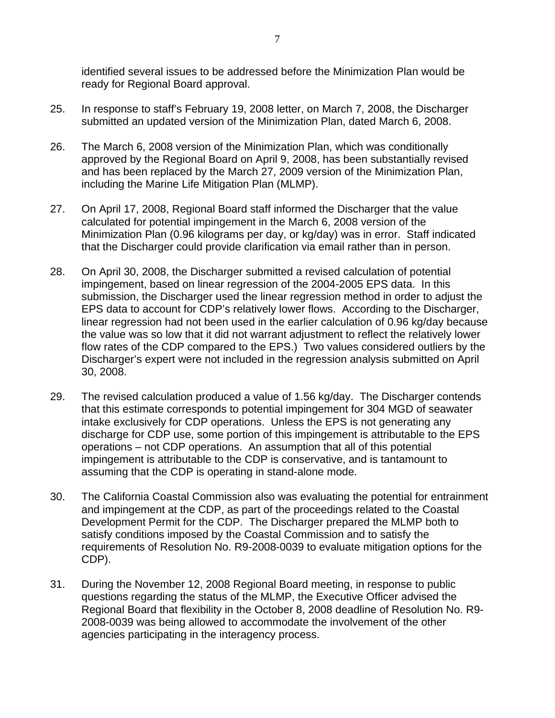identified several issues to be addressed before the Minimization Plan would be ready for Regional Board approval.

- 25. In response to staff's February 19, 2008 letter, on March 7, 2008, the Discharger submitted an updated version of the Minimization Plan, dated March 6, 2008.
- 26. The March 6, 2008 version of the Minimization Plan, which was conditionally approved by the Regional Board on April 9, 2008, has been substantially revised and has been replaced by the March 27, 2009 version of the Minimization Plan, including the Marine Life Mitigation Plan (MLMP).
- 27. On April 17, 2008, Regional Board staff informed the Discharger that the value calculated for potential impingement in the March 6, 2008 version of the Minimization Plan (0.96 kilograms per day, or kg/day) was in error. Staff indicated that the Discharger could provide clarification via email rather than in person.
- 28. On April 30, 2008, the Discharger submitted a revised calculation of potential impingement, based on linear regression of the 2004-2005 EPS data. In this submission, the Discharger used the linear regression method in order to adjust the EPS data to account for CDP's relatively lower flows. According to the Discharger, linear regression had not been used in the earlier calculation of 0.96 kg/day because the value was so low that it did not warrant adjustment to reflect the relatively lower flow rates of the CDP compared to the EPS.) Two values considered outliers by the Discharger's expert were not included in the regression analysis submitted on April 30, 2008.
- 29. The revised calculation produced a value of 1.56 kg/day. The Discharger contends that this estimate corresponds to potential impingement for 304 MGD of seawater intake exclusively for CDP operations. Unless the EPS is not generating any discharge for CDP use, some portion of this impingement is attributable to the EPS operations – not CDP operations. An assumption that all of this potential impingement is attributable to the CDP is conservative, and is tantamount to assuming that the CDP is operating in stand-alone mode.
- 30. The California Coastal Commission also was evaluating the potential for entrainment and impingement at the CDP, as part of the proceedings related to the Coastal Development Permit for the CDP. The Discharger prepared the MLMP both to satisfy conditions imposed by the Coastal Commission and to satisfy the requirements of Resolution No. R9-2008-0039 to evaluate mitigation options for the CDP).
- 31. During the November 12, 2008 Regional Board meeting, in response to public questions regarding the status of the MLMP, the Executive Officer advised the Regional Board that flexibility in the October 8, 2008 deadline of Resolution No. R9- 2008-0039 was being allowed to accommodate the involvement of the other agencies participating in the interagency process.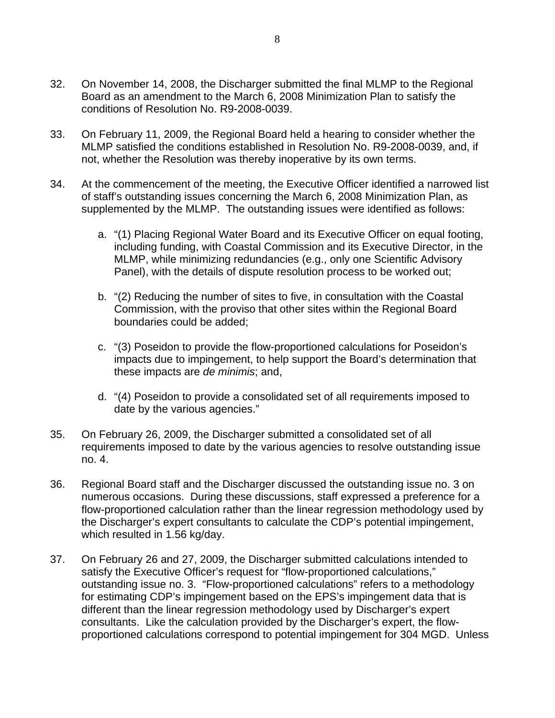- 32. On November 14, 2008, the Discharger submitted the final MLMP to the Regional Board as an amendment to the March 6, 2008 Minimization Plan to satisfy the conditions of Resolution No. R9-2008-0039.
- 33. On February 11, 2009, the Regional Board held a hearing to consider whether the MLMP satisfied the conditions established in Resolution No. R9-2008-0039, and, if not, whether the Resolution was thereby inoperative by its own terms.
- 34. At the commencement of the meeting, the Executive Officer identified a narrowed list of staff's outstanding issues concerning the March 6, 2008 Minimization Plan, as supplemented by the MLMP. The outstanding issues were identified as follows:
	- a. "(1) Placing Regional Water Board and its Executive Officer on equal footing, including funding, with Coastal Commission and its Executive Director, in the MLMP, while minimizing redundancies (e.g., only one Scientific Advisory Panel), with the details of dispute resolution process to be worked out;
	- b. "(2) Reducing the number of sites to five, in consultation with the Coastal Commission, with the proviso that other sites within the Regional Board boundaries could be added;
	- c. "(3) Poseidon to provide the flow-proportioned calculations for Poseidon's impacts due to impingement, to help support the Board's determination that these impacts are *de minimis*; and,
	- d. "(4) Poseidon to provide a consolidated set of all requirements imposed to date by the various agencies."
- 35. On February 26, 2009, the Discharger submitted a consolidated set of all requirements imposed to date by the various agencies to resolve outstanding issue no. 4.
- 36. Regional Board staff and the Discharger discussed the outstanding issue no. 3 on numerous occasions. During these discussions, staff expressed a preference for a flow-proportioned calculation rather than the linear regression methodology used by the Discharger's expert consultants to calculate the CDP's potential impingement, which resulted in 1.56 kg/day.
- 37. On February 26 and 27, 2009, the Discharger submitted calculations intended to satisfy the Executive Officer's request for "flow-proportioned calculations," outstanding issue no. 3. "Flow-proportioned calculations" refers to a methodology for estimating CDP's impingement based on the EPS's impingement data that is different than the linear regression methodology used by Discharger's expert consultants. Like the calculation provided by the Discharger's expert, the flowproportioned calculations correspond to potential impingement for 304 MGD. Unless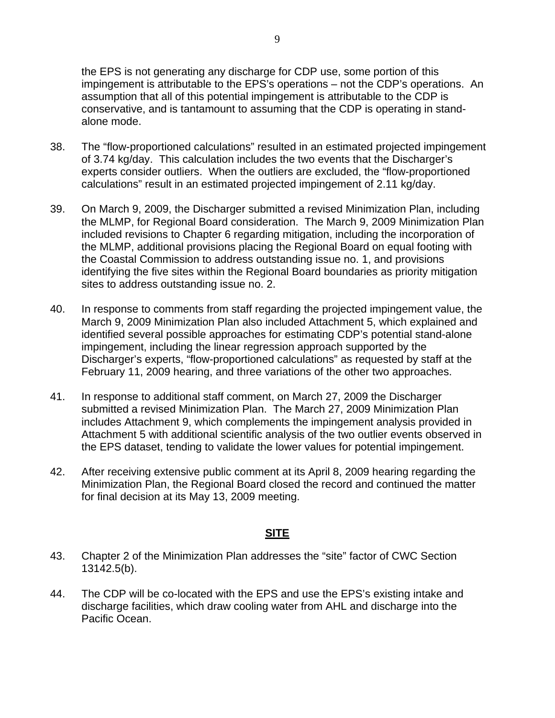9

the EPS is not generating any discharge for CDP use, some portion of this impingement is attributable to the EPS's operations – not the CDP's operations. An assumption that all of this potential impingement is attributable to the CDP is conservative, and is tantamount to assuming that the CDP is operating in standalone mode.

- 38. The "flow-proportioned calculations" resulted in an estimated projected impingement of 3.74 kg/day. This calculation includes the two events that the Discharger's experts consider outliers. When the outliers are excluded, the "flow-proportioned calculations" result in an estimated projected impingement of 2.11 kg/day.
- 39. On March 9, 2009, the Discharger submitted a revised Minimization Plan, including the MLMP, for Regional Board consideration. The March 9, 2009 Minimization Plan included revisions to Chapter 6 regarding mitigation, including the incorporation of the MLMP, additional provisions placing the Regional Board on equal footing with the Coastal Commission to address outstanding issue no. 1, and provisions identifying the five sites within the Regional Board boundaries as priority mitigation sites to address outstanding issue no. 2.
- 40. In response to comments from staff regarding the projected impingement value, the March 9, 2009 Minimization Plan also included Attachment 5, which explained and identified several possible approaches for estimating CDP's potential stand-alone impingement, including the linear regression approach supported by the Discharger's experts, "flow-proportioned calculations" as requested by staff at the February 11, 2009 hearing, and three variations of the other two approaches.
- 41. In response to additional staff comment, on March 27, 2009 the Discharger submitted a revised Minimization Plan. The March 27, 2009 Minimization Plan includes Attachment 9, which complements the impingement analysis provided in Attachment 5 with additional scientific analysis of the two outlier events observed in the EPS dataset, tending to validate the lower values for potential impingement.
- 42. After receiving extensive public comment at its April 8, 2009 hearing regarding the Minimization Plan, the Regional Board closed the record and continued the matter for final decision at its May 13, 2009 meeting.

## **SITE**

- 43. Chapter 2 of the Minimization Plan addresses the "site" factor of CWC Section 13142.5(b).
- 44. The CDP will be co-located with the EPS and use the EPS's existing intake and discharge facilities, which draw cooling water from AHL and discharge into the Pacific Ocean.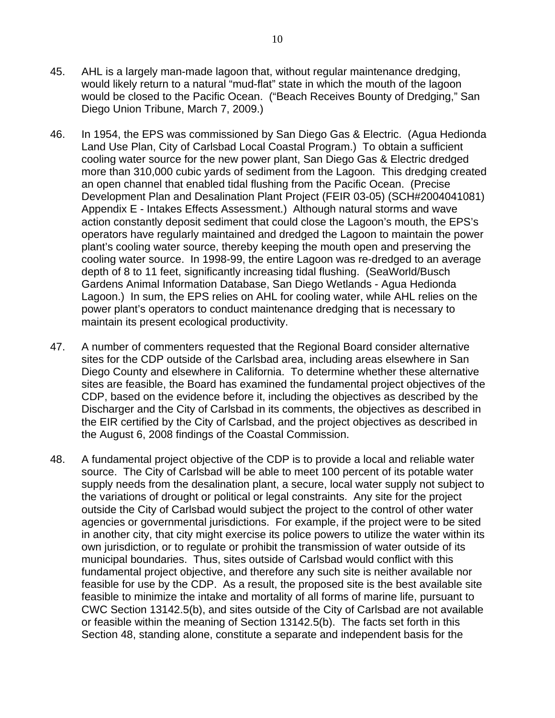- 45. AHL is a largely man-made lagoon that, without regular maintenance dredging, would likely return to a natural "mud-flat" state in which the mouth of the lagoon would be closed to the Pacific Ocean. ("Beach Receives Bounty of Dredging," San Diego Union Tribune, March 7, 2009.)
- 46. In 1954, the EPS was commissioned by San Diego Gas & Electric. (Agua Hedionda Land Use Plan, City of Carlsbad Local Coastal Program.) To obtain a sufficient cooling water source for the new power plant, San Diego Gas & Electric dredged more than 310,000 cubic yards of sediment from the Lagoon. This dredging created an open channel that enabled tidal flushing from the Pacific Ocean. (Precise Development Plan and Desalination Plant Project (FEIR 03-05) (SCH#2004041081) Appendix E - Intakes Effects Assessment.) Although natural storms and wave action constantly deposit sediment that could close the Lagoon's mouth, the EPS's operators have regularly maintained and dredged the Lagoon to maintain the power plant's cooling water source, thereby keeping the mouth open and preserving the cooling water source. In 1998-99, the entire Lagoon was re-dredged to an average depth of 8 to 11 feet, significantly increasing tidal flushing. (SeaWorld/Busch Gardens Animal Information Database, San Diego Wetlands - Agua Hedionda Lagoon.) In sum, the EPS relies on AHL for cooling water, while AHL relies on the power plant's operators to conduct maintenance dredging that is necessary to maintain its present ecological productivity.
- 47. A number of commenters requested that the Regional Board consider alternative sites for the CDP outside of the Carlsbad area, including areas elsewhere in San Diego County and elsewhere in California. To determine whether these alternative sites are feasible, the Board has examined the fundamental project objectives of the CDP, based on the evidence before it, including the objectives as described by the Discharger and the City of Carlsbad in its comments, the objectives as described in the EIR certified by the City of Carlsbad, and the project objectives as described in the August 6, 2008 findings of the Coastal Commission.
- 48. A fundamental project objective of the CDP is to provide a local and reliable water source. The City of Carlsbad will be able to meet 100 percent of its potable water supply needs from the desalination plant, a secure, local water supply not subject to the variations of drought or political or legal constraints. Any site for the project outside the City of Carlsbad would subject the project to the control of other water agencies or governmental jurisdictions. For example, if the project were to be sited in another city, that city might exercise its police powers to utilize the water within its own jurisdiction, or to regulate or prohibit the transmission of water outside of its municipal boundaries. Thus, sites outside of Carlsbad would conflict with this fundamental project objective, and therefore any such site is neither available nor feasible for use by the CDP. As a result, the proposed site is the best available site feasible to minimize the intake and mortality of all forms of marine life, pursuant to CWC Section 13142.5(b), and sites outside of the City of Carlsbad are not available or feasible within the meaning of Section 13142.5(b). The facts set forth in this Section 48, standing alone, constitute a separate and independent basis for the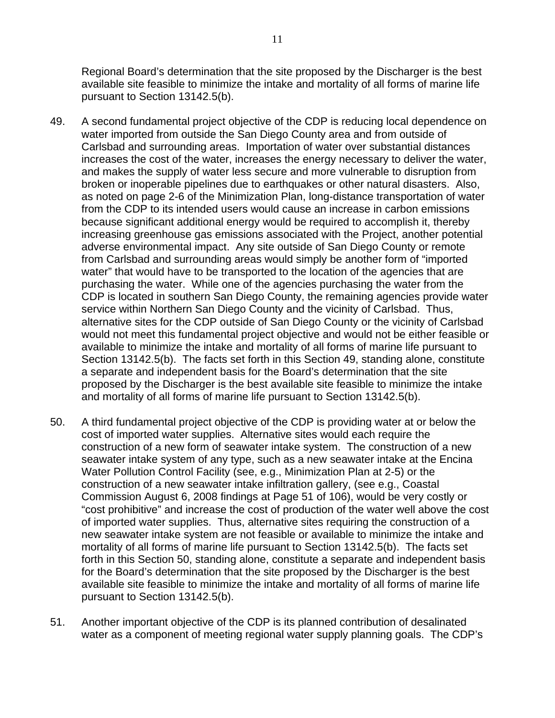Regional Board's determination that the site proposed by the Discharger is the best available site feasible to minimize the intake and mortality of all forms of marine life pursuant to Section 13142.5(b).

- 49. A second fundamental project objective of the CDP is reducing local dependence on water imported from outside the San Diego County area and from outside of Carlsbad and surrounding areas. Importation of water over substantial distances increases the cost of the water, increases the energy necessary to deliver the water, and makes the supply of water less secure and more vulnerable to disruption from broken or inoperable pipelines due to earthquakes or other natural disasters. Also, as noted on page 2-6 of the Minimization Plan, long-distance transportation of water from the CDP to its intended users would cause an increase in carbon emissions because significant additional energy would be required to accomplish it, thereby increasing greenhouse gas emissions associated with the Project, another potential adverse environmental impact. Any site outside of San Diego County or remote from Carlsbad and surrounding areas would simply be another form of "imported water" that would have to be transported to the location of the agencies that are purchasing the water. While one of the agencies purchasing the water from the CDP is located in southern San Diego County, the remaining agencies provide water service within Northern San Diego County and the vicinity of Carlsbad. Thus, alternative sites for the CDP outside of San Diego County or the vicinity of Carlsbad would not meet this fundamental project objective and would not be either feasible or available to minimize the intake and mortality of all forms of marine life pursuant to Section 13142.5(b). The facts set forth in this Section 49, standing alone, constitute a separate and independent basis for the Board's determination that the site proposed by the Discharger is the best available site feasible to minimize the intake and mortality of all forms of marine life pursuant to Section 13142.5(b).
- 50. A third fundamental project objective of the CDP is providing water at or below the cost of imported water supplies. Alternative sites would each require the construction of a new form of seawater intake system. The construction of a new seawater intake system of any type, such as a new seawater intake at the Encina Water Pollution Control Facility (see, e.g., Minimization Plan at 2-5) or the construction of a new seawater intake infiltration gallery, (see e.g., Coastal Commission August 6, 2008 findings at Page 51 of 106), would be very costly or "cost prohibitive" and increase the cost of production of the water well above the cost of imported water supplies. Thus, alternative sites requiring the construction of a new seawater intake system are not feasible or available to minimize the intake and mortality of all forms of marine life pursuant to Section 13142.5(b). The facts set forth in this Section 50, standing alone, constitute a separate and independent basis for the Board's determination that the site proposed by the Discharger is the best available site feasible to minimize the intake and mortality of all forms of marine life pursuant to Section 13142.5(b).
- 51. Another important objective of the CDP is its planned contribution of desalinated water as a component of meeting regional water supply planning goals. The CDP's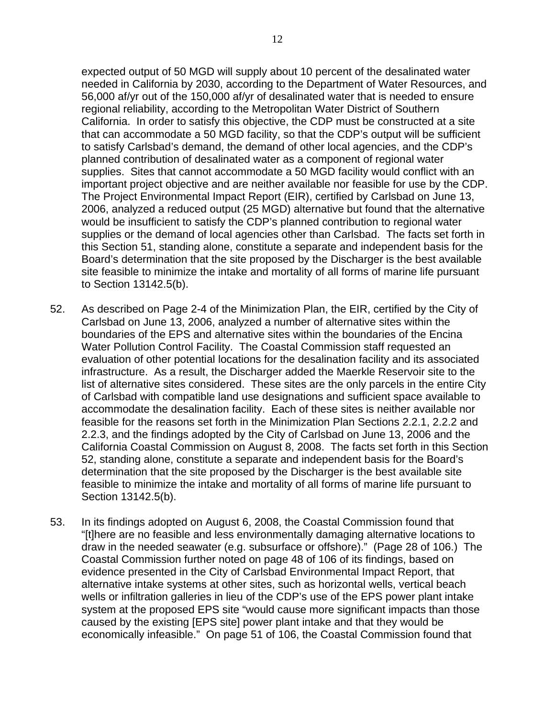expected output of 50 MGD will supply about 10 percent of the desalinated water needed in California by 2030, according to the Department of Water Resources, and 56,000 af/yr out of the 150,000 af/yr of desalinated water that is needed to ensure regional reliability, according to the Metropolitan Water District of Southern California. In order to satisfy this objective, the CDP must be constructed at a site that can accommodate a 50 MGD facility, so that the CDP's output will be sufficient to satisfy Carlsbad's demand, the demand of other local agencies, and the CDP's planned contribution of desalinated water as a component of regional water supplies. Sites that cannot accommodate a 50 MGD facility would conflict with an important project objective and are neither available nor feasible for use by the CDP. The Project Environmental Impact Report (EIR), certified by Carlsbad on June 13, 2006, analyzed a reduced output (25 MGD) alternative but found that the alternative would be insufficient to satisfy the CDP's planned contribution to regional water supplies or the demand of local agencies other than Carlsbad. The facts set forth in this Section 51, standing alone, constitute a separate and independent basis for the Board's determination that the site proposed by the Discharger is the best available site feasible to minimize the intake and mortality of all forms of marine life pursuant to Section 13142.5(b).

- 52. As described on Page 2-4 of the Minimization Plan, the EIR, certified by the City of Carlsbad on June 13, 2006, analyzed a number of alternative sites within the boundaries of the EPS and alternative sites within the boundaries of the Encina Water Pollution Control Facility. The Coastal Commission staff requested an evaluation of other potential locations for the desalination facility and its associated infrastructure. As a result, the Discharger added the Maerkle Reservoir site to the list of alternative sites considered. These sites are the only parcels in the entire City of Carlsbad with compatible land use designations and sufficient space available to accommodate the desalination facility. Each of these sites is neither available nor feasible for the reasons set forth in the Minimization Plan Sections 2.2.1, 2.2.2 and 2.2.3, and the findings adopted by the City of Carlsbad on June 13, 2006 and the California Coastal Commission on August 8, 2008. The facts set forth in this Section 52, standing alone, constitute a separate and independent basis for the Board's determination that the site proposed by the Discharger is the best available site feasible to minimize the intake and mortality of all forms of marine life pursuant to Section 13142.5(b).
- 53. In its findings adopted on August 6, 2008, the Coastal Commission found that "[t]here are no feasible and less environmentally damaging alternative locations to draw in the needed seawater (e.g. subsurface or offshore)." (Page 28 of 106.) The Coastal Commission further noted on page 48 of 106 of its findings, based on evidence presented in the City of Carlsbad Environmental Impact Report, that alternative intake systems at other sites, such as horizontal wells, vertical beach wells or infiltration galleries in lieu of the CDP's use of the EPS power plant intake system at the proposed EPS site "would cause more significant impacts than those caused by the existing [EPS site] power plant intake and that they would be economically infeasible." On page 51 of 106, the Coastal Commission found that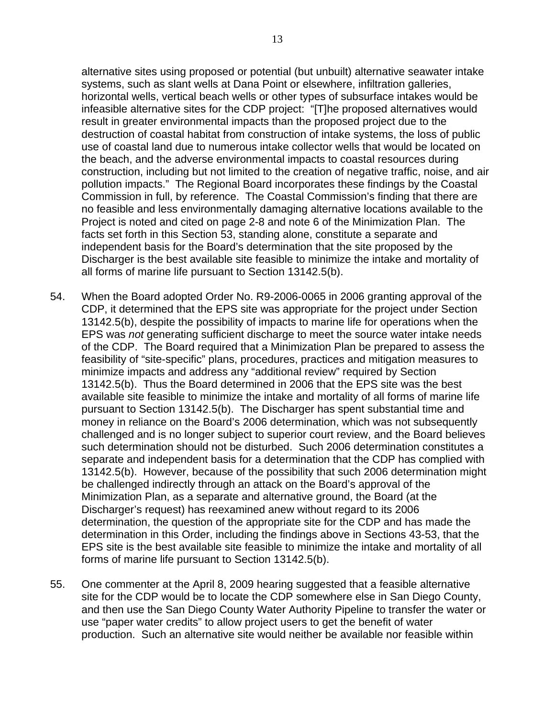alternative sites using proposed or potential (but unbuilt) alternative seawater intake systems, such as slant wells at Dana Point or elsewhere, infiltration galleries, horizontal wells, vertical beach wells or other types of subsurface intakes would be infeasible alternative sites for the CDP project: "[T]he proposed alternatives would result in greater environmental impacts than the proposed project due to the destruction of coastal habitat from construction of intake systems, the loss of public use of coastal land due to numerous intake collector wells that would be located on the beach, and the adverse environmental impacts to coastal resources during construction, including but not limited to the creation of negative traffic, noise, and air pollution impacts." The Regional Board incorporates these findings by the Coastal Commission in full, by reference. The Coastal Commission's finding that there are no feasible and less environmentally damaging alternative locations available to the Project is noted and cited on page 2-8 and note 6 of the Minimization Plan. The facts set forth in this Section 53, standing alone, constitute a separate and independent basis for the Board's determination that the site proposed by the Discharger is the best available site feasible to minimize the intake and mortality of all forms of marine life pursuant to Section 13142.5(b).

- 54. When the Board adopted Order No. R9-2006-0065 in 2006 granting approval of the CDP, it determined that the EPS site was appropriate for the project under Section 13142.5(b), despite the possibility of impacts to marine life for operations when the EPS was *not* generating sufficient discharge to meet the source water intake needs of the CDP. The Board required that a Minimization Plan be prepared to assess the feasibility of "site-specific" plans, procedures, practices and mitigation measures to minimize impacts and address any "additional review" required by Section 13142.5(b). Thus the Board determined in 2006 that the EPS site was the best available site feasible to minimize the intake and mortality of all forms of marine life pursuant to Section 13142.5(b). The Discharger has spent substantial time and money in reliance on the Board's 2006 determination, which was not subsequently challenged and is no longer subject to superior court review, and the Board believes such determination should not be disturbed. Such 2006 determination constitutes a separate and independent basis for a determination that the CDP has complied with 13142.5(b). However, because of the possibility that such 2006 determination might be challenged indirectly through an attack on the Board's approval of the Minimization Plan, as a separate and alternative ground, the Board (at the Discharger's request) has reexamined anew without regard to its 2006 determination, the question of the appropriate site for the CDP and has made the determination in this Order, including the findings above in Sections 43-53, that the EPS site is the best available site feasible to minimize the intake and mortality of all forms of marine life pursuant to Section 13142.5(b).
- 55. One commenter at the April 8, 2009 hearing suggested that a feasible alternative site for the CDP would be to locate the CDP somewhere else in San Diego County, and then use the San Diego County Water Authority Pipeline to transfer the water or use "paper water credits" to allow project users to get the benefit of water production. Such an alternative site would neither be available nor feasible within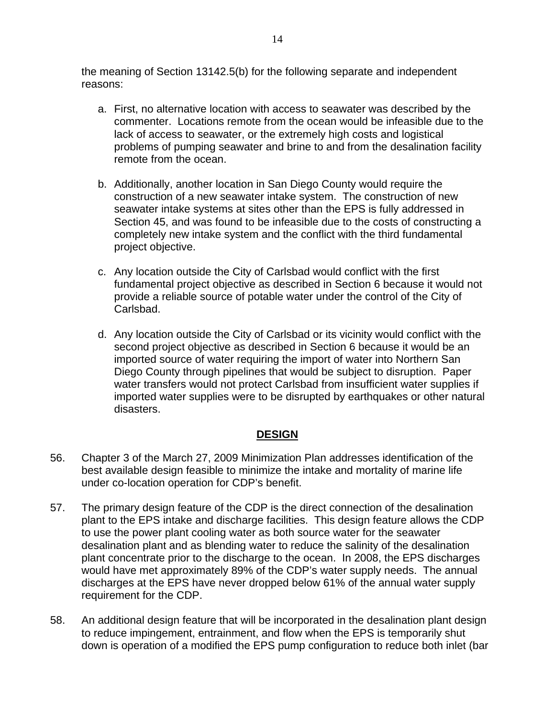the meaning of Section 13142.5(b) for the following separate and independent reasons:

- a. First, no alternative location with access to seawater was described by the commenter. Locations remote from the ocean would be infeasible due to the lack of access to seawater, or the extremely high costs and logistical problems of pumping seawater and brine to and from the desalination facility remote from the ocean.
- b. Additionally, another location in San Diego County would require the construction of a new seawater intake system. The construction of new seawater intake systems at sites other than the EPS is fully addressed in Section 45, and was found to be infeasible due to the costs of constructing a completely new intake system and the conflict with the third fundamental project objective.
- c. Any location outside the City of Carlsbad would conflict with the first fundamental project objective as described in Section 6 because it would not provide a reliable source of potable water under the control of the City of Carlsbad.
- d. Any location outside the City of Carlsbad or its vicinity would conflict with the second project objective as described in Section 6 because it would be an imported source of water requiring the import of water into Northern San Diego County through pipelines that would be subject to disruption. Paper water transfers would not protect Carlsbad from insufficient water supplies if imported water supplies were to be disrupted by earthquakes or other natural disasters.

### **DESIGN**

- 56. Chapter 3 of the March 27, 2009 Minimization Plan addresses identification of the best available design feasible to minimize the intake and mortality of marine life under co-location operation for CDP's benefit.
- 57. The primary design feature of the CDP is the direct connection of the desalination plant to the EPS intake and discharge facilities. This design feature allows the CDP to use the power plant cooling water as both source water for the seawater desalination plant and as blending water to reduce the salinity of the desalination plant concentrate prior to the discharge to the ocean. In 2008, the EPS discharges would have met approximately 89% of the CDP's water supply needs. The annual discharges at the EPS have never dropped below 61% of the annual water supply requirement for the CDP.
- 58. An additional design feature that will be incorporated in the desalination plant design to reduce impingement, entrainment, and flow when the EPS is temporarily shut down is operation of a modified the EPS pump configuration to reduce both inlet (bar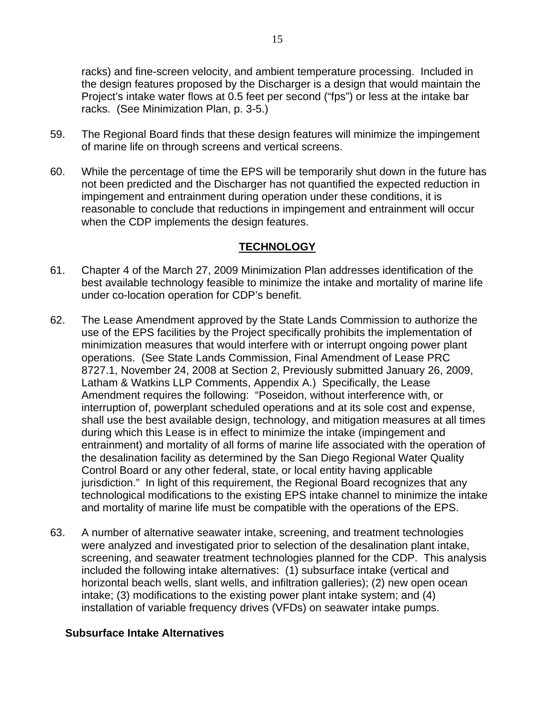racks) and fine-screen velocity, and ambient temperature processing. Included in the design features proposed by the Discharger is a design that would maintain the Project's intake water flows at 0.5 feet per second ("fps") or less at the intake bar racks. (See Minimization Plan, p. 3-5.)

- 59. The Regional Board finds that these design features will minimize the impingement of marine life on through screens and vertical screens.
- 60. While the percentage of time the EPS will be temporarily shut down in the future has not been predicted and the Discharger has not quantified the expected reduction in impingement and entrainment during operation under these conditions, it is reasonable to conclude that reductions in impingement and entrainment will occur when the CDP implements the design features.

## **TECHNOLOGY**

- 61. Chapter 4 of the March 27, 2009 Minimization Plan addresses identification of the best available technology feasible to minimize the intake and mortality of marine life under co-location operation for CDP's benefit.
- 62. The Lease Amendment approved by the State Lands Commission to authorize the use of the EPS facilities by the Project specifically prohibits the implementation of minimization measures that would interfere with or interrupt ongoing power plant operations. (See State Lands Commission, Final Amendment of Lease PRC 8727.1, November 24, 2008 at Section 2, Previously submitted January 26, 2009, Latham & Watkins LLP Comments, Appendix A.) Specifically, the Lease Amendment requires the following: "Poseidon, without interference with, or interruption of, powerplant scheduled operations and at its sole cost and expense, shall use the best available design, technology, and mitigation measures at all times during which this Lease is in effect to minimize the intake (impingement and entrainment) and mortality of all forms of marine life associated with the operation of the desalination facility as determined by the San Diego Regional Water Quality Control Board or any other federal, state, or local entity having applicable jurisdiction." In light of this requirement, the Regional Board recognizes that any technological modifications to the existing EPS intake channel to minimize the intake and mortality of marine life must be compatible with the operations of the EPS.
- 63. A number of alternative seawater intake, screening, and treatment technologies were analyzed and investigated prior to selection of the desalination plant intake, screening, and seawater treatment technologies planned for the CDP. This analysis included the following intake alternatives: (1) subsurface intake (vertical and horizontal beach wells, slant wells, and infiltration galleries); (2) new open ocean intake; (3) modifications to the existing power plant intake system; and (4) installation of variable frequency drives (VFDs) on seawater intake pumps.

### **Subsurface Intake Alternatives**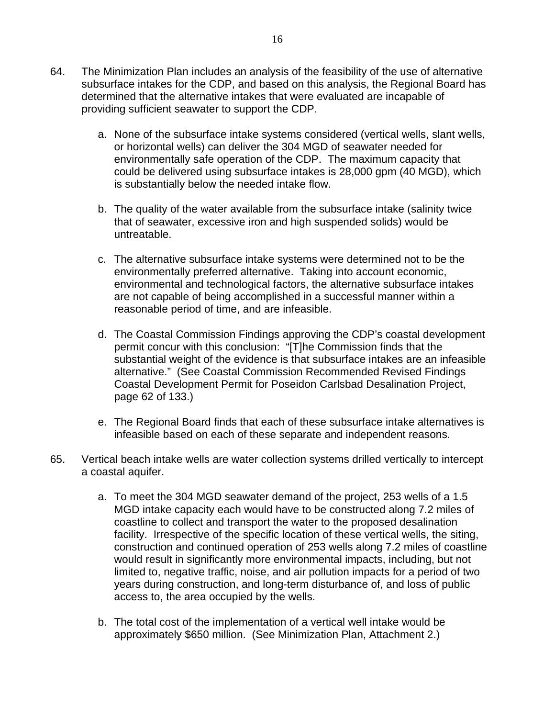- 64. The Minimization Plan includes an analysis of the feasibility of the use of alternative subsurface intakes for the CDP, and based on this analysis, the Regional Board has determined that the alternative intakes that were evaluated are incapable of providing sufficient seawater to support the CDP.
	- a. None of the subsurface intake systems considered (vertical wells, slant wells, or horizontal wells) can deliver the 304 MGD of seawater needed for environmentally safe operation of the CDP. The maximum capacity that could be delivered using subsurface intakes is 28,000 gpm (40 MGD), which is substantially below the needed intake flow.
	- b. The quality of the water available from the subsurface intake (salinity twice that of seawater, excessive iron and high suspended solids) would be untreatable.
	- c. The alternative subsurface intake systems were determined not to be the environmentally preferred alternative. Taking into account economic, environmental and technological factors, the alternative subsurface intakes are not capable of being accomplished in a successful manner within a reasonable period of time, and are infeasible.
	- d. The Coastal Commission Findings approving the CDP's coastal development permit concur with this conclusion: "[T]he Commission finds that the substantial weight of the evidence is that subsurface intakes are an infeasible alternative." (See Coastal Commission Recommended Revised Findings Coastal Development Permit for Poseidon Carlsbad Desalination Project, page 62 of 133.)
	- e. The Regional Board finds that each of these subsurface intake alternatives is infeasible based on each of these separate and independent reasons.
- 65. Vertical beach intake wells are water collection systems drilled vertically to intercept a coastal aquifer.
	- a. To meet the 304 MGD seawater demand of the project, 253 wells of a 1.5 MGD intake capacity each would have to be constructed along 7.2 miles of coastline to collect and transport the water to the proposed desalination facility. Irrespective of the specific location of these vertical wells, the siting, construction and continued operation of 253 wells along 7.2 miles of coastline would result in significantly more environmental impacts, including, but not limited to, negative traffic, noise, and air pollution impacts for a period of two years during construction, and long-term disturbance of, and loss of public access to, the area occupied by the wells.
	- b. The total cost of the implementation of a vertical well intake would be approximately \$650 million. (See Minimization Plan, Attachment 2.)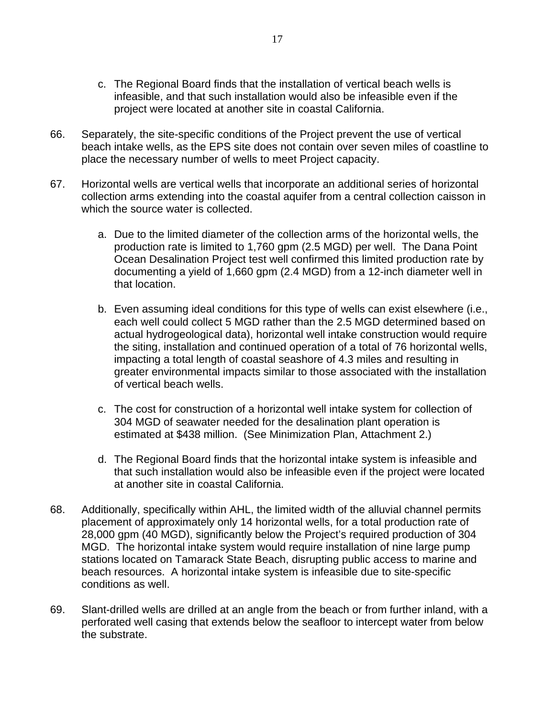- c. The Regional Board finds that the installation of vertical beach wells is infeasible, and that such installation would also be infeasible even if the project were located at another site in coastal California.
- 66. Separately, the site-specific conditions of the Project prevent the use of vertical beach intake wells, as the EPS site does not contain over seven miles of coastline to place the necessary number of wells to meet Project capacity.
- 67. Horizontal wells are vertical wells that incorporate an additional series of horizontal collection arms extending into the coastal aquifer from a central collection caisson in which the source water is collected.
	- a. Due to the limited diameter of the collection arms of the horizontal wells, the production rate is limited to 1,760 gpm (2.5 MGD) per well. The Dana Point Ocean Desalination Project test well confirmed this limited production rate by documenting a yield of 1,660 gpm (2.4 MGD) from a 12-inch diameter well in that location.
	- b. Even assuming ideal conditions for this type of wells can exist elsewhere (i.e., each well could collect 5 MGD rather than the 2.5 MGD determined based on actual hydrogeological data), horizontal well intake construction would require the siting, installation and continued operation of a total of 76 horizontal wells, impacting a total length of coastal seashore of 4.3 miles and resulting in greater environmental impacts similar to those associated with the installation of vertical beach wells.
	- c. The cost for construction of a horizontal well intake system for collection of 304 MGD of seawater needed for the desalination plant operation is estimated at \$438 million. (See Minimization Plan, Attachment 2.)
	- d. The Regional Board finds that the horizontal intake system is infeasible and that such installation would also be infeasible even if the project were located at another site in coastal California.
- 68. Additionally, specifically within AHL, the limited width of the alluvial channel permits placement of approximately only 14 horizontal wells, for a total production rate of 28,000 gpm (40 MGD), significantly below the Project's required production of 304 MGD. The horizontal intake system would require installation of nine large pump stations located on Tamarack State Beach, disrupting public access to marine and beach resources. A horizontal intake system is infeasible due to site-specific conditions as well.
- 69. Slant-drilled wells are drilled at an angle from the beach or from further inland, with a perforated well casing that extends below the seafloor to intercept water from below the substrate.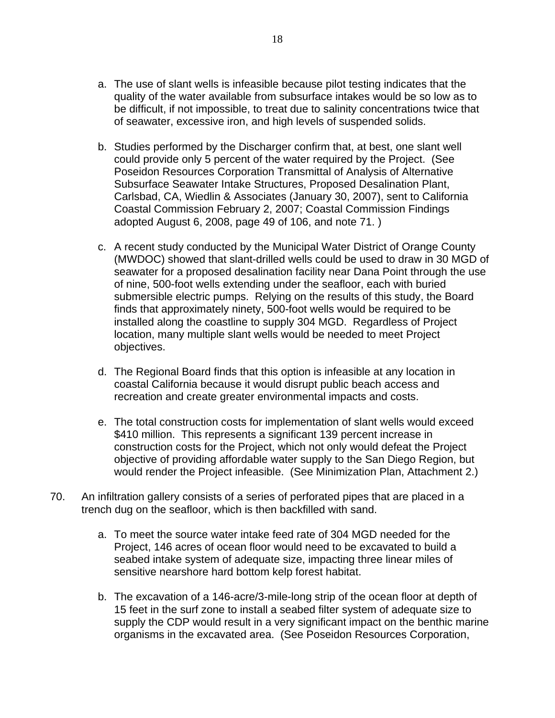- a. The use of slant wells is infeasible because pilot testing indicates that the quality of the water available from subsurface intakes would be so low as to be difficult, if not impossible, to treat due to salinity concentrations twice that of seawater, excessive iron, and high levels of suspended solids.
- b. Studies performed by the Discharger confirm that, at best, one slant well could provide only 5 percent of the water required by the Project. (See Poseidon Resources Corporation Transmittal of Analysis of Alternative Subsurface Seawater Intake Structures, Proposed Desalination Plant, Carlsbad, CA, Wiedlin & Associates (January 30, 2007), sent to California Coastal Commission February 2, 2007; Coastal Commission Findings adopted August 6, 2008, page 49 of 106, and note 71. )
- c. A recent study conducted by the Municipal Water District of Orange County (MWDOC) showed that slant-drilled wells could be used to draw in 30 MGD of seawater for a proposed desalination facility near Dana Point through the use of nine, 500-foot wells extending under the seafloor, each with buried submersible electric pumps. Relying on the results of this study, the Board finds that approximately ninety, 500-foot wells would be required to be installed along the coastline to supply 304 MGD. Regardless of Project location, many multiple slant wells would be needed to meet Project objectives.
- d. The Regional Board finds that this option is infeasible at any location in coastal California because it would disrupt public beach access and recreation and create greater environmental impacts and costs.
- e. The total construction costs for implementation of slant wells would exceed \$410 million. This represents a significant 139 percent increase in construction costs for the Project, which not only would defeat the Project objective of providing affordable water supply to the San Diego Region, but would render the Project infeasible. (See Minimization Plan, Attachment 2.)
- 70. An infiltration gallery consists of a series of perforated pipes that are placed in a trench dug on the seafloor, which is then backfilled with sand.
	- a. To meet the source water intake feed rate of 304 MGD needed for the Project, 146 acres of ocean floor would need to be excavated to build a seabed intake system of adequate size, impacting three linear miles of sensitive nearshore hard bottom kelp forest habitat.
	- b. The excavation of a 146-acre/3-mile-long strip of the ocean floor at depth of 15 feet in the surf zone to install a seabed filter system of adequate size to supply the CDP would result in a very significant impact on the benthic marine organisms in the excavated area. (See Poseidon Resources Corporation,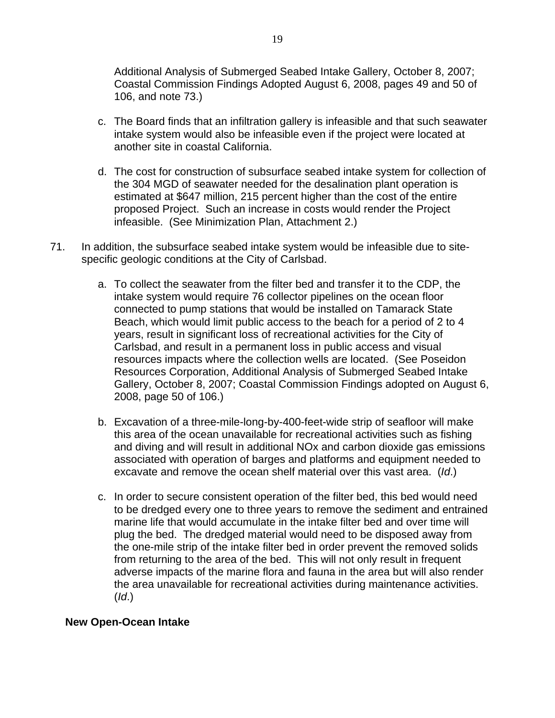Additional Analysis of Submerged Seabed Intake Gallery, October 8, 2007; Coastal Commission Findings Adopted August 6, 2008, pages 49 and 50 of 106, and note 73.)

- c. The Board finds that an infiltration gallery is infeasible and that such seawater intake system would also be infeasible even if the project were located at another site in coastal California.
- d. The cost for construction of subsurface seabed intake system for collection of the 304 MGD of seawater needed for the desalination plant operation is estimated at \$647 million, 215 percent higher than the cost of the entire proposed Project. Such an increase in costs would render the Project infeasible. (See Minimization Plan, Attachment 2.)
- 71. In addition, the subsurface seabed intake system would be infeasible due to sitespecific geologic conditions at the City of Carlsbad.
	- a. To collect the seawater from the filter bed and transfer it to the CDP, the intake system would require 76 collector pipelines on the ocean floor connected to pump stations that would be installed on Tamarack State Beach, which would limit public access to the beach for a period of 2 to 4 years, result in significant loss of recreational activities for the City of Carlsbad, and result in a permanent loss in public access and visual resources impacts where the collection wells are located. (See Poseidon Resources Corporation, Additional Analysis of Submerged Seabed Intake Gallery, October 8, 2007; Coastal Commission Findings adopted on August 6, 2008, page 50 of 106.)
	- b. Excavation of a three-mile-long-by-400-feet-wide strip of seafloor will make this area of the ocean unavailable for recreational activities such as fishing and diving and will result in additional NOx and carbon dioxide gas emissions associated with operation of barges and platforms and equipment needed to excavate and remove the ocean shelf material over this vast area. (*Id*.)
	- c. In order to secure consistent operation of the filter bed, this bed would need to be dredged every one to three years to remove the sediment and entrained marine life that would accumulate in the intake filter bed and over time will plug the bed. The dredged material would need to be disposed away from the one-mile strip of the intake filter bed in order prevent the removed solids from returning to the area of the bed. This will not only result in frequent adverse impacts of the marine flora and fauna in the area but will also render the area unavailable for recreational activities during maintenance activities. (*Id*.)

### **New Open-Ocean Intake**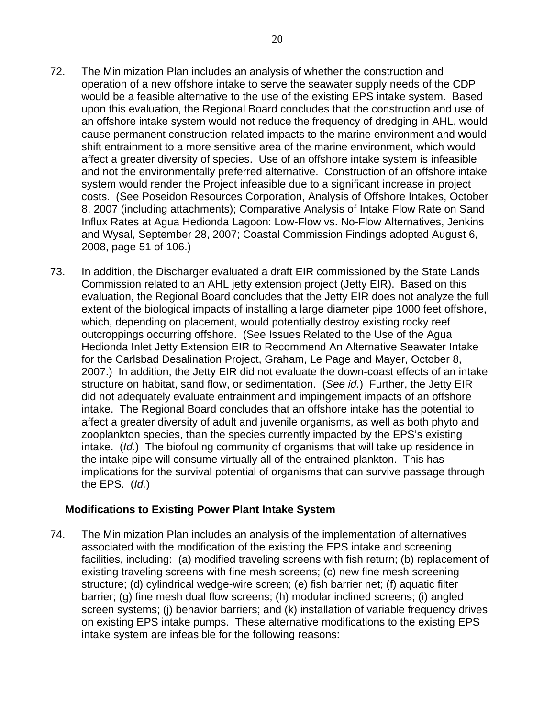- 72. The Minimization Plan includes an analysis of whether the construction and operation of a new offshore intake to serve the seawater supply needs of the CDP would be a feasible alternative to the use of the existing EPS intake system. Based upon this evaluation, the Regional Board concludes that the construction and use of an offshore intake system would not reduce the frequency of dredging in AHL, would cause permanent construction-related impacts to the marine environment and would shift entrainment to a more sensitive area of the marine environment, which would affect a greater diversity of species. Use of an offshore intake system is infeasible and not the environmentally preferred alternative. Construction of an offshore intake system would render the Project infeasible due to a significant increase in project costs. (See Poseidon Resources Corporation, Analysis of Offshore Intakes, October 8, 2007 (including attachments); Comparative Analysis of Intake Flow Rate on Sand Influx Rates at Agua Hedionda Lagoon: Low-Flow vs. No-Flow Alternatives, Jenkins and Wysal, September 28, 2007; Coastal Commission Findings adopted August 6, 2008, page 51 of 106.)
- 73. In addition, the Discharger evaluated a draft EIR commissioned by the State Lands Commission related to an AHL jetty extension project (Jetty EIR). Based on this evaluation, the Regional Board concludes that the Jetty EIR does not analyze the full extent of the biological impacts of installing a large diameter pipe 1000 feet offshore, which, depending on placement, would potentially destroy existing rocky reef outcroppings occurring offshore. (See Issues Related to the Use of the Agua Hedionda Inlet Jetty Extension EIR to Recommend An Alternative Seawater Intake for the Carlsbad Desalination Project, Graham, Le Page and Mayer, October 8, 2007.) In addition, the Jetty EIR did not evaluate the down-coast effects of an intake structure on habitat, sand flow, or sedimentation. (*See id.*) Further, the Jetty EIR did not adequately evaluate entrainment and impingement impacts of an offshore intake. The Regional Board concludes that an offshore intake has the potential to affect a greater diversity of adult and juvenile organisms, as well as both phyto and zooplankton species, than the species currently impacted by the EPS's existing intake. (*Id.*) The biofouling community of organisms that will take up residence in the intake pipe will consume virtually all of the entrained plankton. This has implications for the survival potential of organisms that can survive passage through the EPS. (*Id.*)

### **Modifications to Existing Power Plant Intake System**

74. The Minimization Plan includes an analysis of the implementation of alternatives associated with the modification of the existing the EPS intake and screening facilities, including: (a) modified traveling screens with fish return; (b) replacement of existing traveling screens with fine mesh screens; (c) new fine mesh screening structure; (d) cylindrical wedge-wire screen; (e) fish barrier net; (f) aquatic filter barrier; (g) fine mesh dual flow screens; (h) modular inclined screens; (i) angled screen systems; (j) behavior barriers; and (k) installation of variable frequency drives on existing EPS intake pumps. These alternative modifications to the existing EPS intake system are infeasible for the following reasons: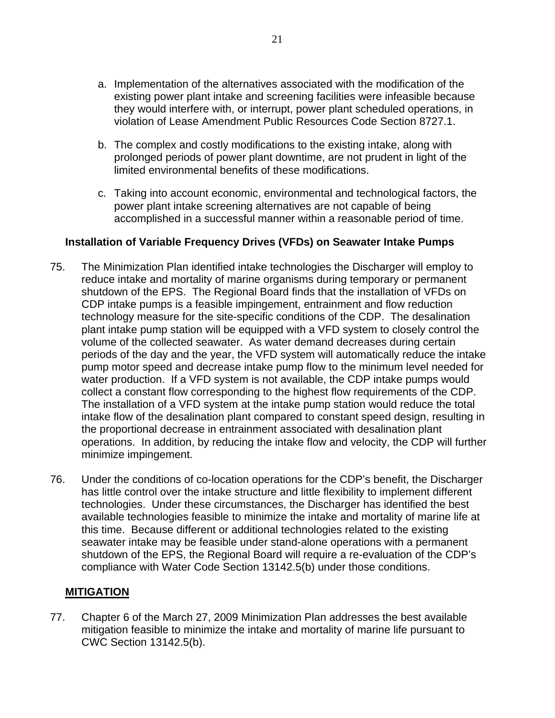- a. Implementation of the alternatives associated with the modification of the existing power plant intake and screening facilities were infeasible because they would interfere with, or interrupt, power plant scheduled operations, in violation of Lease Amendment Public Resources Code Section 8727.1.
- b. The complex and costly modifications to the existing intake, along with prolonged periods of power plant downtime, are not prudent in light of the limited environmental benefits of these modifications.
- c. Taking into account economic, environmental and technological factors, the power plant intake screening alternatives are not capable of being accomplished in a successful manner within a reasonable period of time.

### **Installation of Variable Frequency Drives (VFDs) on Seawater Intake Pumps**

- 75. The Minimization Plan identified intake technologies the Discharger will employ to reduce intake and mortality of marine organisms during temporary or permanent shutdown of the EPS. The Regional Board finds that the installation of VFDs on CDP intake pumps is a feasible impingement, entrainment and flow reduction technology measure for the site-specific conditions of the CDP. The desalination plant intake pump station will be equipped with a VFD system to closely control the volume of the collected seawater. As water demand decreases during certain periods of the day and the year, the VFD system will automatically reduce the intake pump motor speed and decrease intake pump flow to the minimum level needed for water production. If a VFD system is not available, the CDP intake pumps would collect a constant flow corresponding to the highest flow requirements of the CDP. The installation of a VFD system at the intake pump station would reduce the total intake flow of the desalination plant compared to constant speed design, resulting in the proportional decrease in entrainment associated with desalination plant operations. In addition, by reducing the intake flow and velocity, the CDP will further minimize impingement.
- 76. Under the conditions of co-location operations for the CDP's benefit, the Discharger has little control over the intake structure and little flexibility to implement different technologies. Under these circumstances, the Discharger has identified the best available technologies feasible to minimize the intake and mortality of marine life at this time. Because different or additional technologies related to the existing seawater intake may be feasible under stand-alone operations with a permanent shutdown of the EPS, the Regional Board will require a re-evaluation of the CDP's compliance with Water Code Section 13142.5(b) under those conditions.

## **MITIGATION**

77. Chapter 6 of the March 27, 2009 Minimization Plan addresses the best available mitigation feasible to minimize the intake and mortality of marine life pursuant to CWC Section 13142.5(b).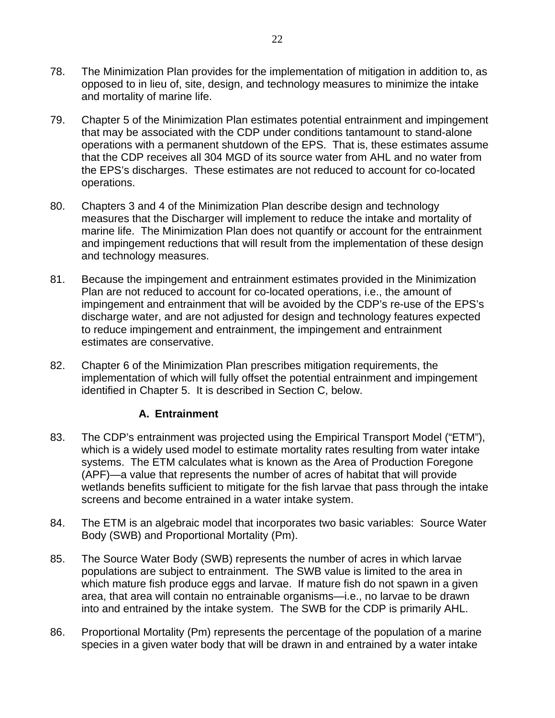- 78. The Minimization Plan provides for the implementation of mitigation in addition to, as opposed to in lieu of, site, design, and technology measures to minimize the intake and mortality of marine life.
- 79. Chapter 5 of the Minimization Plan estimates potential entrainment and impingement that may be associated with the CDP under conditions tantamount to stand-alone operations with a permanent shutdown of the EPS. That is, these estimates assume that the CDP receives all 304 MGD of its source water from AHL and no water from the EPS's discharges. These estimates are not reduced to account for co-located operations.
- 80. Chapters 3 and 4 of the Minimization Plan describe design and technology measures that the Discharger will implement to reduce the intake and mortality of marine life. The Minimization Plan does not quantify or account for the entrainment and impingement reductions that will result from the implementation of these design and technology measures.
- 81. Because the impingement and entrainment estimates provided in the Minimization Plan are not reduced to account for co-located operations, i.e., the amount of impingement and entrainment that will be avoided by the CDP's re-use of the EPS's discharge water, and are not adjusted for design and technology features expected to reduce impingement and entrainment, the impingement and entrainment estimates are conservative.
- 82. Chapter 6 of the Minimization Plan prescribes mitigation requirements, the implementation of which will fully offset the potential entrainment and impingement identified in Chapter 5. It is described in Section C, below.

## **A. Entrainment**

- 83. The CDP's entrainment was projected using the Empirical Transport Model ("ETM"), which is a widely used model to estimate mortality rates resulting from water intake systems. The ETM calculates what is known as the Area of Production Foregone (APF)—a value that represents the number of acres of habitat that will provide wetlands benefits sufficient to mitigate for the fish larvae that pass through the intake screens and become entrained in a water intake system.
- 84. The ETM is an algebraic model that incorporates two basic variables: Source Water Body (SWB) and Proportional Mortality (Pm).
- 85. The Source Water Body (SWB) represents the number of acres in which larvae populations are subject to entrainment. The SWB value is limited to the area in which mature fish produce eggs and larvae. If mature fish do not spawn in a given area, that area will contain no entrainable organisms—i.e., no larvae to be drawn into and entrained by the intake system. The SWB for the CDP is primarily AHL.
- 86. Proportional Mortality (Pm) represents the percentage of the population of a marine species in a given water body that will be drawn in and entrained by a water intake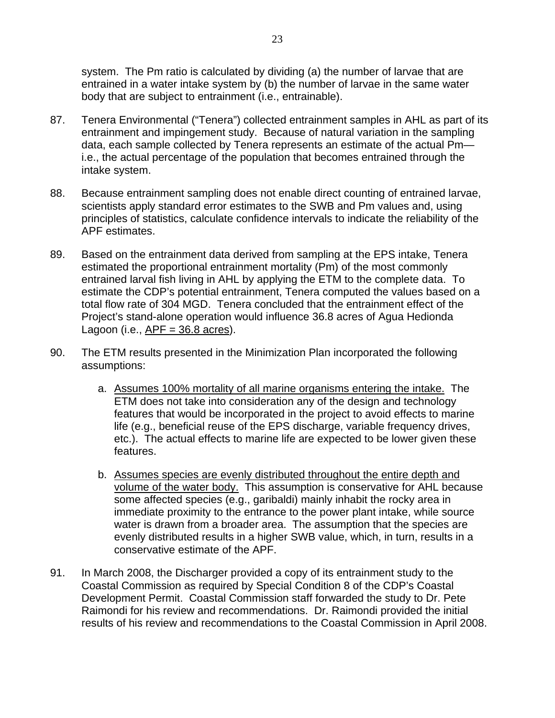system. The Pm ratio is calculated by dividing (a) the number of larvae that are entrained in a water intake system by (b) the number of larvae in the same water body that are subject to entrainment (i.e., entrainable).

- 87. Tenera Environmental ("Tenera") collected entrainment samples in AHL as part of its entrainment and impingement study. Because of natural variation in the sampling data, each sample collected by Tenera represents an estimate of the actual Pm i.e., the actual percentage of the population that becomes entrained through the intake system.
- 88. Because entrainment sampling does not enable direct counting of entrained larvae, scientists apply standard error estimates to the SWB and Pm values and, using principles of statistics, calculate confidence intervals to indicate the reliability of the APF estimates.
- 89. Based on the entrainment data derived from sampling at the EPS intake, Tenera estimated the proportional entrainment mortality (Pm) of the most commonly entrained larval fish living in AHL by applying the ETM to the complete data. To estimate the CDP's potential entrainment, Tenera computed the values based on a total flow rate of 304 MGD. Tenera concluded that the entrainment effect of the Project's stand-alone operation would influence 36.8 acres of Agua Hedionda Lagoon (i.e.,  $APF = 36.8$  acres).
- 90. The ETM results presented in the Minimization Plan incorporated the following assumptions:
	- a. Assumes 100% mortality of all marine organisms entering the intake. The ETM does not take into consideration any of the design and technology features that would be incorporated in the project to avoid effects to marine life (e.g., beneficial reuse of the EPS discharge, variable frequency drives, etc.). The actual effects to marine life are expected to be lower given these features.
	- b. Assumes species are evenly distributed throughout the entire depth and volume of the water body. This assumption is conservative for AHL because some affected species (e.g., garibaldi) mainly inhabit the rocky area in immediate proximity to the entrance to the power plant intake, while source water is drawn from a broader area. The assumption that the species are evenly distributed results in a higher SWB value, which, in turn, results in a conservative estimate of the APF.
- 91. In March 2008, the Discharger provided a copy of its entrainment study to the Coastal Commission as required by Special Condition 8 of the CDP's Coastal Development Permit. Coastal Commission staff forwarded the study to Dr. Pete Raimondi for his review and recommendations. Dr. Raimondi provided the initial results of his review and recommendations to the Coastal Commission in April 2008.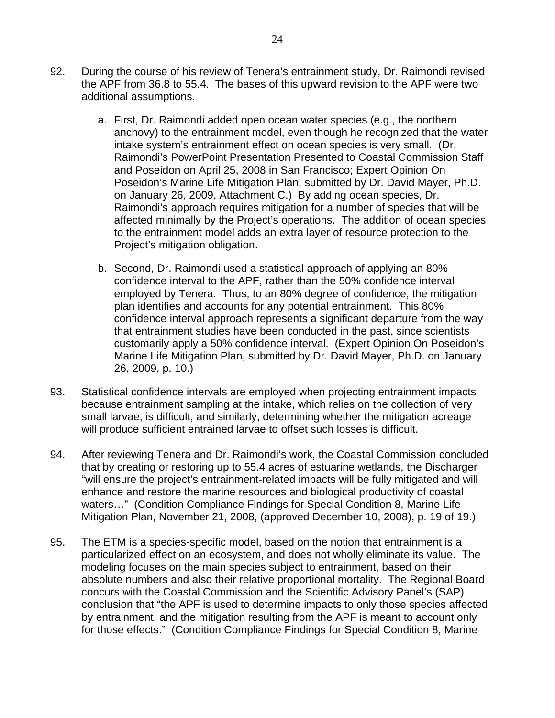- 92. During the course of his review of Tenera's entrainment study, Dr. Raimondi revised the APF from 36.8 to 55.4. The bases of this upward revision to the APF were two additional assumptions.
	- a. First, Dr. Raimondi added open ocean water species (e.g., the northern anchovy) to the entrainment model, even though he recognized that the water intake system's entrainment effect on ocean species is very small. (Dr. Raimondi's PowerPoint Presentation Presented to Coastal Commission Staff and Poseidon on April 25, 2008 in San Francisco; Expert Opinion On Poseidon's Marine Life Mitigation Plan, submitted by Dr. David Mayer, Ph.D. on January 26, 2009, Attachment C.) By adding ocean species, Dr. Raimondi's approach requires mitigation for a number of species that will be affected minimally by the Project's operations. The addition of ocean species to the entrainment model adds an extra layer of resource protection to the Project's mitigation obligation.
	- b. Second, Dr. Raimondi used a statistical approach of applying an 80% confidence interval to the APF, rather than the 50% confidence interval employed by Tenera. Thus, to an 80% degree of confidence, the mitigation plan identifies and accounts for any potential entrainment. This 80% confidence interval approach represents a significant departure from the way that entrainment studies have been conducted in the past, since scientists customarily apply a 50% confidence interval. (Expert Opinion On Poseidon's Marine Life Mitigation Plan, submitted by Dr. David Mayer, Ph.D. on January 26, 2009, p. 10.)
- 93. Statistical confidence intervals are employed when projecting entrainment impacts because entrainment sampling at the intake, which relies on the collection of very small larvae, is difficult, and similarly, determining whether the mitigation acreage will produce sufficient entrained larvae to offset such losses is difficult.
- 94. After reviewing Tenera and Dr. Raimondi's work, the Coastal Commission concluded that by creating or restoring up to 55.4 acres of estuarine wetlands, the Discharger "will ensure the project's entrainment-related impacts will be fully mitigated and will enhance and restore the marine resources and biological productivity of coastal waters…" (Condition Compliance Findings for Special Condition 8, Marine Life Mitigation Plan, November 21, 2008, (approved December 10, 2008), p. 19 of 19.)
- 95. The ETM is a species-specific model, based on the notion that entrainment is a particularized effect on an ecosystem, and does not wholly eliminate its value. The modeling focuses on the main species subject to entrainment, based on their absolute numbers and also their relative proportional mortality. The Regional Board concurs with the Coastal Commission and the Scientific Advisory Panel's (SAP) conclusion that "the APF is used to determine impacts to only those species affected by entrainment, and the mitigation resulting from the APF is meant to account only for those effects." (Condition Compliance Findings for Special Condition 8, Marine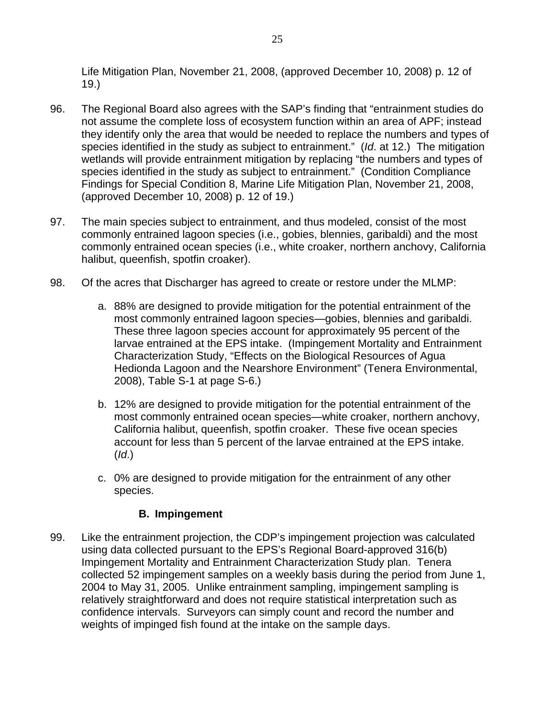Life Mitigation Plan, November 21, 2008, (approved December 10, 2008) p. 12 of 19.)

- 96. The Regional Board also agrees with the SAP's finding that "entrainment studies do not assume the complete loss of ecosystem function within an area of APF; instead they identify only the area that would be needed to replace the numbers and types of species identified in the study as subject to entrainment." (*Id*. at 12.) The mitigation wetlands will provide entrainment mitigation by replacing "the numbers and types of species identified in the study as subject to entrainment." (Condition Compliance Findings for Special Condition 8, Marine Life Mitigation Plan, November 21, 2008, (approved December 10, 2008) p. 12 of 19.)
- 97. The main species subject to entrainment, and thus modeled, consist of the most commonly entrained lagoon species (i.e., gobies, blennies, garibaldi) and the most commonly entrained ocean species (i.e., white croaker, northern anchovy, California halibut, queenfish, spotfin croaker).
- 98. Of the acres that Discharger has agreed to create or restore under the MLMP:
	- a. 88% are designed to provide mitigation for the potential entrainment of the most commonly entrained lagoon species—gobies, blennies and garibaldi. These three lagoon species account for approximately 95 percent of the larvae entrained at the EPS intake. (Impingement Mortality and Entrainment Characterization Study, "Effects on the Biological Resources of Agua Hedionda Lagoon and the Nearshore Environment" (Tenera Environmental, 2008), Table S-1 at page S-6.)
	- b. 12% are designed to provide mitigation for the potential entrainment of the most commonly entrained ocean species—white croaker, northern anchovy, California halibut, queenfish, spotfin croaker. These five ocean species account for less than 5 percent of the larvae entrained at the EPS intake. (*Id*.)
	- c. 0% are designed to provide mitigation for the entrainment of any other species.

## **B. Impingement**

99. Like the entrainment projection, the CDP's impingement projection was calculated using data collected pursuant to the EPS's Regional Board-approved 316(b) Impingement Mortality and Entrainment Characterization Study plan. Tenera collected 52 impingement samples on a weekly basis during the period from June 1, 2004 to May 31, 2005. Unlike entrainment sampling, impingement sampling is relatively straightforward and does not require statistical interpretation such as confidence intervals. Surveyors can simply count and record the number and weights of impinged fish found at the intake on the sample days.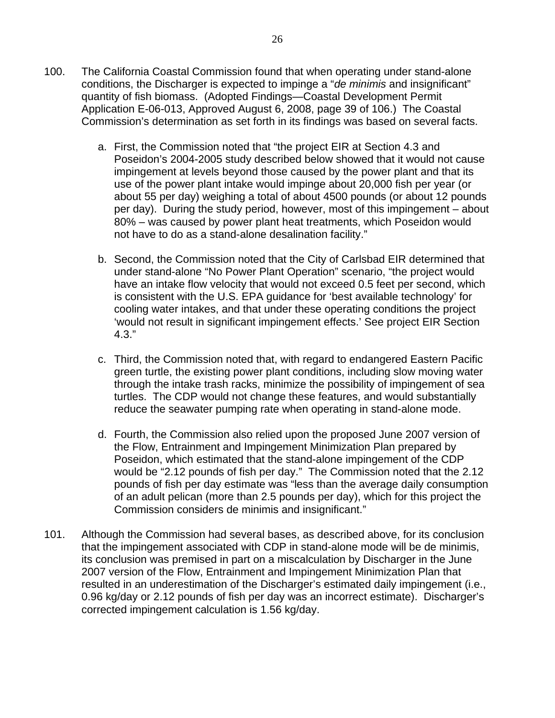- 100. The California Coastal Commission found that when operating under stand-alone conditions, the Discharger is expected to impinge a "*de minimis* and insignificant" quantity of fish biomass. (Adopted Findings—Coastal Development Permit Application E-06-013, Approved August 6, 2008, page 39 of 106.) The Coastal Commission's determination as set forth in its findings was based on several facts.
	- a. First, the Commission noted that "the project EIR at Section 4.3 and Poseidon's 2004-2005 study described below showed that it would not cause impingement at levels beyond those caused by the power plant and that its use of the power plant intake would impinge about 20,000 fish per year (or about 55 per day) weighing a total of about 4500 pounds (or about 12 pounds per day). During the study period, however, most of this impingement – about 80% – was caused by power plant heat treatments, which Poseidon would not have to do as a stand-alone desalination facility."
	- b. Second, the Commission noted that the City of Carlsbad EIR determined that under stand-alone "No Power Plant Operation" scenario, "the project would have an intake flow velocity that would not exceed 0.5 feet per second, which is consistent with the U.S. EPA guidance for 'best available technology' for cooling water intakes, and that under these operating conditions the project 'would not result in significant impingement effects.' See project EIR Section 4.3."
	- c. Third, the Commission noted that, with regard to endangered Eastern Pacific green turtle, the existing power plant conditions, including slow moving water through the intake trash racks, minimize the possibility of impingement of sea turtles. The CDP would not change these features, and would substantially reduce the seawater pumping rate when operating in stand-alone mode.
	- d. Fourth, the Commission also relied upon the proposed June 2007 version of the Flow, Entrainment and Impingement Minimization Plan prepared by Poseidon, which estimated that the stand-alone impingement of the CDP would be "2.12 pounds of fish per day." The Commission noted that the 2.12 pounds of fish per day estimate was "less than the average daily consumption of an adult pelican (more than 2.5 pounds per day), which for this project the Commission considers de minimis and insignificant."
- 101. Although the Commission had several bases, as described above, for its conclusion that the impingement associated with CDP in stand-alone mode will be de minimis, its conclusion was premised in part on a miscalculation by Discharger in the June 2007 version of the Flow, Entrainment and Impingement Minimization Plan that resulted in an underestimation of the Discharger's estimated daily impingement (i.e., 0.96 kg/day or 2.12 pounds of fish per day was an incorrect estimate). Discharger's corrected impingement calculation is 1.56 kg/day.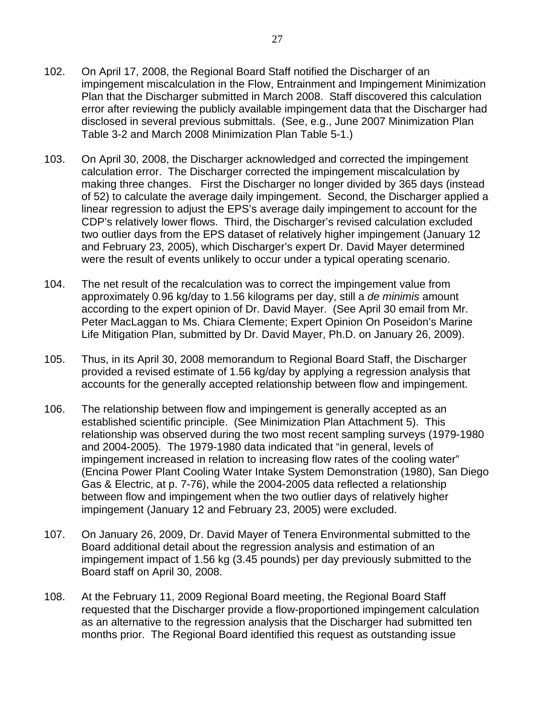- 102. On April 17, 2008, the Regional Board Staff notified the Discharger of an impingement miscalculation in the Flow, Entrainment and Impingement Minimization Plan that the Discharger submitted in March 2008. Staff discovered this calculation error after reviewing the publicly available impingement data that the Discharger had disclosed in several previous submittals. (See, e.g., June 2007 Minimization Plan Table 3-2 and March 2008 Minimization Plan Table 5-1.)
- 103. On April 30, 2008, the Discharger acknowledged and corrected the impingement calculation error. The Discharger corrected the impingement miscalculation by making three changes. First the Discharger no longer divided by 365 days (instead of 52) to calculate the average daily impingement. Second, the Discharger applied a linear regression to adjust the EPS's average daily impingement to account for the CDP's relatively lower flows. Third, the Discharger's revised calculation excluded two outlier days from the EPS dataset of relatively higher impingement (January 12 and February 23, 2005), which Discharger's expert Dr. David Mayer determined were the result of events unlikely to occur under a typical operating scenario.
- 104. The net result of the recalculation was to correct the impingement value from approximately 0.96 kg/day to 1.56 kilograms per day, still a *de minimis* amount according to the expert opinion of Dr. David Mayer. (See April 30 email from Mr. Peter MacLaggan to Ms. Chiara Clemente; Expert Opinion On Poseidon's Marine Life Mitigation Plan, submitted by Dr. David Mayer, Ph.D. on January 26, 2009).
- 105. Thus, in its April 30, 2008 memorandum to Regional Board Staff, the Discharger provided a revised estimate of 1.56 kg/day by applying a regression analysis that accounts for the generally accepted relationship between flow and impingement.
- 106. The relationship between flow and impingement is generally accepted as an established scientific principle. (See Minimization Plan Attachment 5). This relationship was observed during the two most recent sampling surveys (1979-1980 and 2004-2005). The 1979-1980 data indicated that "in general, levels of impingement increased in relation to increasing flow rates of the cooling water" (Encina Power Plant Cooling Water Intake System Demonstration (1980), San Diego Gas & Electric, at p. 7-76), while the 2004-2005 data reflected a relationship between flow and impingement when the two outlier days of relatively higher impingement (January 12 and February 23, 2005) were excluded.
- 107. On January 26, 2009, Dr. David Mayer of Tenera Environmental submitted to the Board additional detail about the regression analysis and estimation of an impingement impact of 1.56 kg (3.45 pounds) per day previously submitted to the Board staff on April 30, 2008.
- 108. At the February 11, 2009 Regional Board meeting, the Regional Board Staff requested that the Discharger provide a flow-proportioned impingement calculation as an alternative to the regression analysis that the Discharger had submitted ten months prior. The Regional Board identified this request as outstanding issue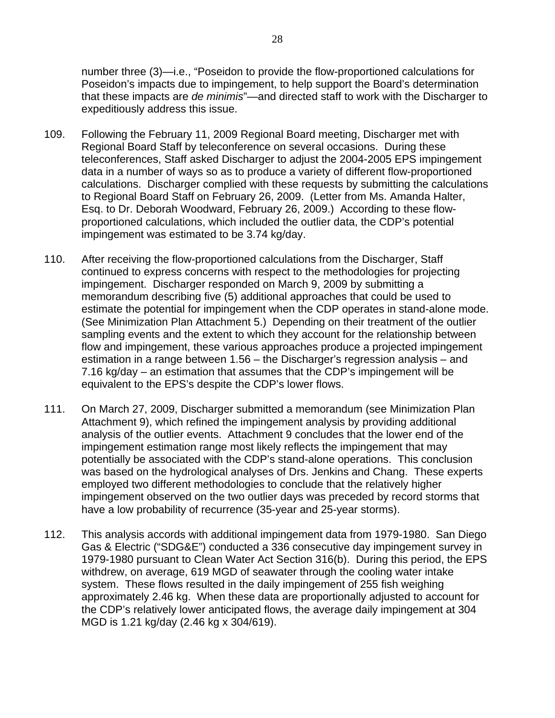number three (3)—i.e., "Poseidon to provide the flow-proportioned calculations for Poseidon's impacts due to impingement, to help support the Board's determination that these impacts are *de minimis*"—and directed staff to work with the Discharger to expeditiously address this issue.

- 109. Following the February 11, 2009 Regional Board meeting, Discharger met with Regional Board Staff by teleconference on several occasions. During these teleconferences, Staff asked Discharger to adjust the 2004-2005 EPS impingement data in a number of ways so as to produce a variety of different flow-proportioned calculations. Discharger complied with these requests by submitting the calculations to Regional Board Staff on February 26, 2009. (Letter from Ms. Amanda Halter, Esq. to Dr. Deborah Woodward, February 26, 2009.) According to these flowproportioned calculations, which included the outlier data, the CDP's potential impingement was estimated to be 3.74 kg/day.
- 110. After receiving the flow-proportioned calculations from the Discharger, Staff continued to express concerns with respect to the methodologies for projecting impingement. Discharger responded on March 9, 2009 by submitting a memorandum describing five (5) additional approaches that could be used to estimate the potential for impingement when the CDP operates in stand-alone mode. (See Minimization Plan Attachment 5.) Depending on their treatment of the outlier sampling events and the extent to which they account for the relationship between flow and impingement, these various approaches produce a projected impingement estimation in a range between 1.56 – the Discharger's regression analysis – and 7.16 kg/day – an estimation that assumes that the CDP's impingement will be equivalent to the EPS's despite the CDP's lower flows.
- 111. On March 27, 2009, Discharger submitted a memorandum (see Minimization Plan Attachment 9), which refined the impingement analysis by providing additional analysis of the outlier events. Attachment 9 concludes that the lower end of the impingement estimation range most likely reflects the impingement that may potentially be associated with the CDP's stand-alone operations. This conclusion was based on the hydrological analyses of Drs. Jenkins and Chang. These experts employed two different methodologies to conclude that the relatively higher impingement observed on the two outlier days was preceded by record storms that have a low probability of recurrence (35-year and 25-year storms).
- 112. This analysis accords with additional impingement data from 1979-1980. San Diego Gas & Electric ("SDG&E") conducted a 336 consecutive day impingement survey in 1979-1980 pursuant to Clean Water Act Section 316(b). During this period, the EPS withdrew, on average, 619 MGD of seawater through the cooling water intake system. These flows resulted in the daily impingement of 255 fish weighing approximately 2.46 kg. When these data are proportionally adjusted to account for the CDP's relatively lower anticipated flows, the average daily impingement at 304 MGD is 1.21 kg/day (2.46 kg x 304/619).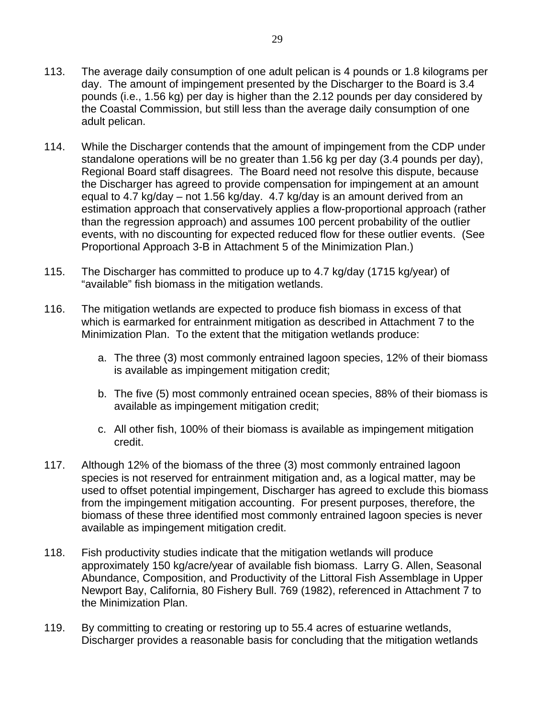- 114. While the Discharger contends that the amount of impingement from the CDP under standalone operations will be no greater than 1.56 kg per day (3.4 pounds per day), Regional Board staff disagrees. The Board need not resolve this dispute, because the Discharger has agreed to provide compensation for impingement at an amount equal to 4.7 kg/day – not 1.56 kg/day. 4.7 kg/day is an amount derived from an estimation approach that conservatively applies a flow-proportional approach (rather than the regression approach) and assumes 100 percent probability of the outlier events, with no discounting for expected reduced flow for these outlier events. (See Proportional Approach 3-B in Attachment 5 of the Minimization Plan.)
- 115. The Discharger has committed to produce up to 4.7 kg/day (1715 kg/year) of "available" fish biomass in the mitigation wetlands.
- 116. The mitigation wetlands are expected to produce fish biomass in excess of that which is earmarked for entrainment mitigation as described in Attachment 7 to the Minimization Plan. To the extent that the mitigation wetlands produce:
	- a. The three (3) most commonly entrained lagoon species, 12% of their biomass is available as impingement mitigation credit;
	- b. The five (5) most commonly entrained ocean species, 88% of their biomass is available as impingement mitigation credit;
	- c. All other fish, 100% of their biomass is available as impingement mitigation credit.
- 117. Although 12% of the biomass of the three (3) most commonly entrained lagoon species is not reserved for entrainment mitigation and, as a logical matter, may be used to offset potential impingement, Discharger has agreed to exclude this biomass from the impingement mitigation accounting. For present purposes, therefore, the biomass of these three identified most commonly entrained lagoon species is never available as impingement mitigation credit.
- 118. Fish productivity studies indicate that the mitigation wetlands will produce approximately 150 kg/acre/year of available fish biomass. Larry G. Allen, Seasonal Abundance, Composition, and Productivity of the Littoral Fish Assemblage in Upper Newport Bay, California, 80 Fishery Bull. 769 (1982), referenced in Attachment 7 to the Minimization Plan.
- 119. By committing to creating or restoring up to 55.4 acres of estuarine wetlands, Discharger provides a reasonable basis for concluding that the mitigation wetlands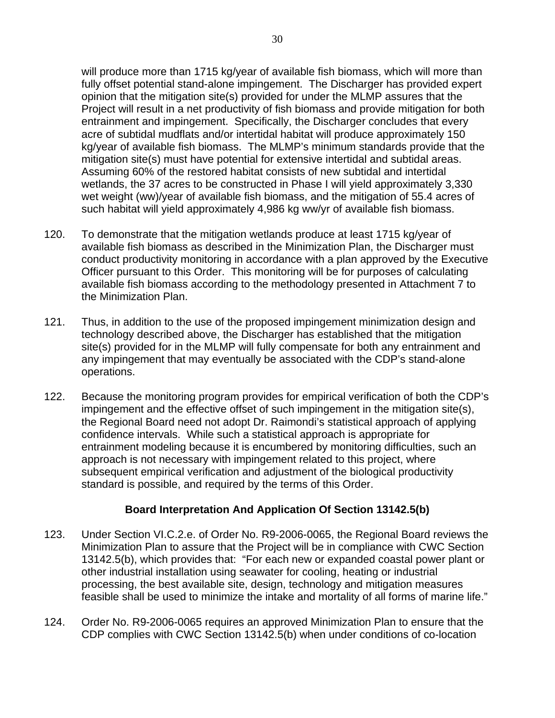will produce more than 1715 kg/year of available fish biomass, which will more than fully offset potential stand-alone impingement. The Discharger has provided expert opinion that the mitigation site(s) provided for under the MLMP assures that the Project will result in a net productivity of fish biomass and provide mitigation for both entrainment and impingement. Specifically, the Discharger concludes that every acre of subtidal mudflats and/or intertidal habitat will produce approximately 150 kg/year of available fish biomass. The MLMP's minimum standards provide that the mitigation site(s) must have potential for extensive intertidal and subtidal areas. Assuming 60% of the restored habitat consists of new subtidal and intertidal wetlands, the 37 acres to be constructed in Phase I will yield approximately 3,330 wet weight (ww)/year of available fish biomass, and the mitigation of 55.4 acres of such habitat will yield approximately 4,986 kg ww/yr of available fish biomass.

- 120. To demonstrate that the mitigation wetlands produce at least 1715 kg/year of available fish biomass as described in the Minimization Plan, the Discharger must conduct productivity monitoring in accordance with a plan approved by the Executive Officer pursuant to this Order. This monitoring will be for purposes of calculating available fish biomass according to the methodology presented in Attachment 7 to the Minimization Plan.
- 121. Thus, in addition to the use of the proposed impingement minimization design and technology described above, the Discharger has established that the mitigation site(s) provided for in the MLMP will fully compensate for both any entrainment and any impingement that may eventually be associated with the CDP's stand-alone operations.
- 122. Because the monitoring program provides for empirical verification of both the CDP's impingement and the effective offset of such impingement in the mitigation site(s), the Regional Board need not adopt Dr. Raimondi's statistical approach of applying confidence intervals. While such a statistical approach is appropriate for entrainment modeling because it is encumbered by monitoring difficulties, such an approach is not necessary with impingement related to this project, where subsequent empirical verification and adjustment of the biological productivity standard is possible, and required by the terms of this Order.

### **Board Interpretation And Application Of Section 13142.5(b)**

- 123. Under Section VI.C.2.e. of Order No. R9-2006-0065, the Regional Board reviews the Minimization Plan to assure that the Project will be in compliance with CWC Section 13142.5(b), which provides that: "For each new or expanded coastal power plant or other industrial installation using seawater for cooling, heating or industrial processing, the best available site, design, technology and mitigation measures feasible shall be used to minimize the intake and mortality of all forms of marine life."
- 124. Order No. R9-2006-0065 requires an approved Minimization Plan to ensure that the CDP complies with CWC Section 13142.5(b) when under conditions of co-location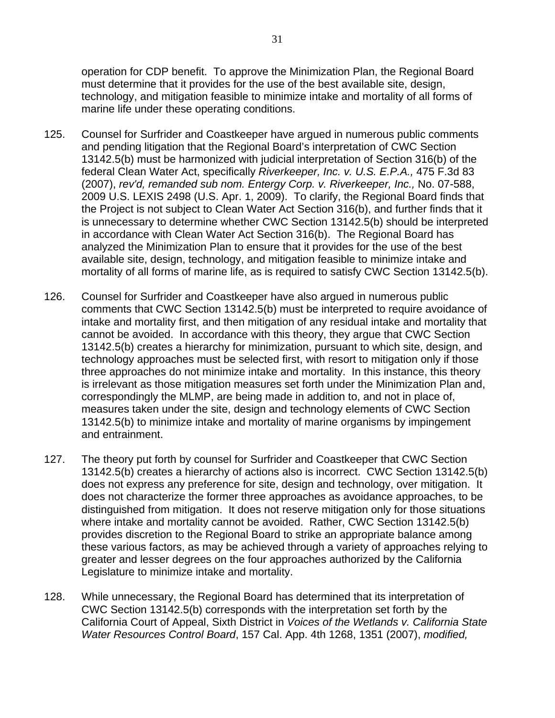operation for CDP benefit. To approve the Minimization Plan, the Regional Board must determine that it provides for the use of the best available site, design, technology, and mitigation feasible to minimize intake and mortality of all forms of marine life under these operating conditions.

- 125. Counsel for Surfrider and Coastkeeper have argued in numerous public comments and pending litigation that the Regional Board's interpretation of CWC Section 13142.5(b) must be harmonized with judicial interpretation of Section 316(b) of the federal Clean Water Act, specifically *Riverkeeper, Inc. v. U.S. E.P.A.,* 475 F.3d 83 (2007), *rev'd, remanded sub nom. Entergy Corp. v. Riverkeeper, Inc.,* No. 07-588, 2009 U.S. LEXIS 2498 (U.S. Apr. 1, 2009). To clarify, the Regional Board finds that the Project is not subject to Clean Water Act Section 316(b), and further finds that it is unnecessary to determine whether CWC Section 13142.5(b) should be interpreted in accordance with Clean Water Act Section 316(b). The Regional Board has analyzed the Minimization Plan to ensure that it provides for the use of the best available site, design, technology, and mitigation feasible to minimize intake and mortality of all forms of marine life, as is required to satisfy CWC Section 13142.5(b).
- 126. Counsel for Surfrider and Coastkeeper have also argued in numerous public comments that CWC Section 13142.5(b) must be interpreted to require avoidance of intake and mortality first, and then mitigation of any residual intake and mortality that cannot be avoided. In accordance with this theory, they argue that CWC Section 13142.5(b) creates a hierarchy for minimization, pursuant to which site, design, and technology approaches must be selected first, with resort to mitigation only if those three approaches do not minimize intake and mortality. In this instance, this theory is irrelevant as those mitigation measures set forth under the Minimization Plan and, correspondingly the MLMP, are being made in addition to, and not in place of, measures taken under the site, design and technology elements of CWC Section 13142.5(b) to minimize intake and mortality of marine organisms by impingement and entrainment.
- 127. The theory put forth by counsel for Surfrider and Coastkeeper that CWC Section 13142.5(b) creates a hierarchy of actions also is incorrect. CWC Section 13142.5(b) does not express any preference for site, design and technology, over mitigation. It does not characterize the former three approaches as avoidance approaches, to be distinguished from mitigation. It does not reserve mitigation only for those situations where intake and mortality cannot be avoided. Rather, CWC Section 13142.5(b) provides discretion to the Regional Board to strike an appropriate balance among these various factors, as may be achieved through a variety of approaches relying to greater and lesser degrees on the four approaches authorized by the California Legislature to minimize intake and mortality.
- 128. While unnecessary, the Regional Board has determined that its interpretation of CWC Section 13142.5(b) corresponds with the interpretation set forth by the California Court of Appeal, Sixth District in *Voices of the Wetlands v. California State Water Resources Control Board*, 157 Cal. App. 4th 1268, 1351 (2007), *modified,*